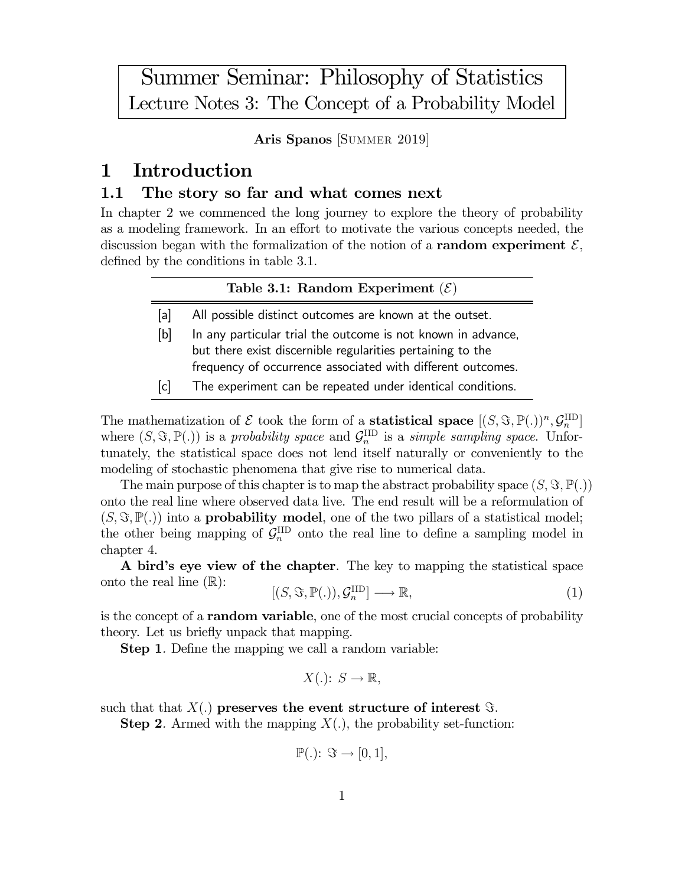Summer Seminar: Philosophy of Statistics Lecture Notes 3: The Concept of a Probability Model

Aris Spanos [SUMMER 2019]

# 1 Introduction

# 1.1 The story so far and what comes next

In chapter 2 we commenced the long journey to explore the theory of probability as a modeling framework. In an effort to motivate the various concepts needed, the discussion began with the formalization of the notion of a **random experiment**  $\mathcal{E}$ , defined by the conditions in table 3.1.

## Table 3.1: Random Experiment  $(\mathcal{E})$

- [a] All possible distinct outcomes are known at the outset.
- [b] In any particular trial the outcome is not known in advance, but there exist discernible regularities pertaining to the frequency of occurrence associated with different outcomes.
- [c] The experiment can be repeated under identical conditions.

The mathematization of  $\mathcal E$  took the form of a **statistical space**  $[(S, \Im, \mathbb{P}(.))^n, \mathcal{G}_n^{\text{IID}}]$ where  $(S, \Im, \mathbb{P}(.))$  is a probability space and  $\mathcal{G}_n^{\text{IID}}$  is a simple sampling space. Unfortunately, the statistical space does not lend itself naturally or conveniently to the modeling of stochastic phenomena that give rise to numerical data.

The main purpose of this chapter is to map the abstract probability space  $(S, \Im, \mathbb{P}(.))$ onto the real line where observed data live. The end result will be a reformulation of  $(S, \Im, \mathbb{P}(.))$  into a **probability model**, one of the two pillars of a statistical model; the other being mapping of  $\mathcal{G}_n^{\text{IID}}$  onto the real line to define a sampling model in chapter 4.

A bird's eye view of the chapter. The key to mapping the statistical space onto the real line  $(\mathbb{R})$ :

 $[(S, \Im, \mathbb{P}(.)), \mathcal{G}_n^{\text{IID}}] \longrightarrow \mathbb{R},$  (1)

is the concept of a random variable, one of the most crucial concepts of probability theory. Let us briefly unpack that mapping.

**Step 1.** Define the mapping we call a random variable:

 $X(.)\colon S\to\mathbb{R},$ 

such that that  $X(.)$  preserves the event structure of interest  $\Im$ .

**Step 2.** Armed with the mapping  $X(.)$ , the probability set-function:

$$
\mathbb{P}(.): \mathfrak{S} \to [0,1],
$$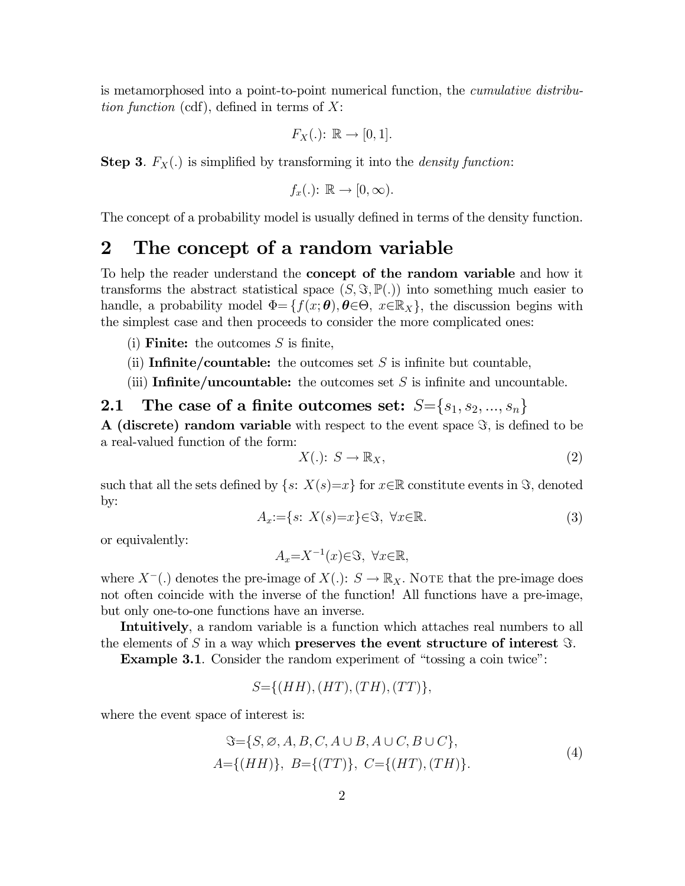is metamorphosed into a point-to-point numerical function, the cumulative distribution function (cdf), defined in terms of  $X$ :

$$
F_X(.): \mathbb{R} \to [0,1].
$$

**Step 3.**  $F_X(.)$  is simplified by transforming it into the *density function*:

$$
f_x(.): \mathbb{R} \to [0, \infty).
$$

The concept of a probability model is usually defined in terms of the density function.

# 2 The concept of a random variable

To help the reader understand the **concept of the random variable** and how it transforms the abstract statistical space  $(S, \Im, \mathbb{P}(.))$  into something much easier to handle, a probability model  $\Phi = \{f(x; \theta), \theta \in \Theta, x \in \mathbb{R}_X\}$ , the discussion begins with the simplest case and then proceeds to consider the more complicated ones:

- (i) **Finite:** the outcomes  $S$  is finite,
- (ii) Infinite/countable: the outcomes set  $S$  is infinite but countable,
- (iii) Infinite/uncountable: the outcomes set  $S$  is infinite and uncountable.

# 2.1 The case of a finite outcomes set:  $S = \{s_1, s_2, ..., s_n\}$

A (discrete) random variable with respect to the event space  $\Im$ , is defined to be a real-valued function of the form:

$$
X(.): S \to \mathbb{R}_X,\tag{2}
$$

such that all the sets defined by  $\{s: X(s)=x\}$  for  $x\in\mathbb{R}$  constitute events in  $\Im$ , denoted by:

$$
A_x := \{ s \colon X(s) = x \} \in \mathfrak{S}, \ \forall x \in \mathbb{R}.\tag{3}
$$

or equivalently:

$$
A_x = X^{-1}(x) \in \mathfrak{S}, \ \forall x \in \mathbb{R},
$$

where  $X^{-}$ (.) denotes the pre-image of  $X(.)$ :  $S \to \mathbb{R}_{X}$ . NOTE that the pre-image does not often coincide with the inverse of the function! All functions have a pre-image, but only one-to-one functions have an inverse.

Intuitively, a random variable is a function which attaches real numbers to all the elements of S in a way which **preserves the event structure of interest**  $\Im$ .

Example 3.1. Consider the random experiment of "tossing a coin twice":

$$
S = \{(HH), (HT), (TH), (TT)\},\
$$

where the event space of interest is:

$$
\Im = \{S, \emptyset, A, B, C, A \cup B, A \cup C, B \cup C\},\
$$
  

$$
A = \{(HH)\}, B = \{(TT)\}, C = \{(HT), (TH)\}.
$$
 (4)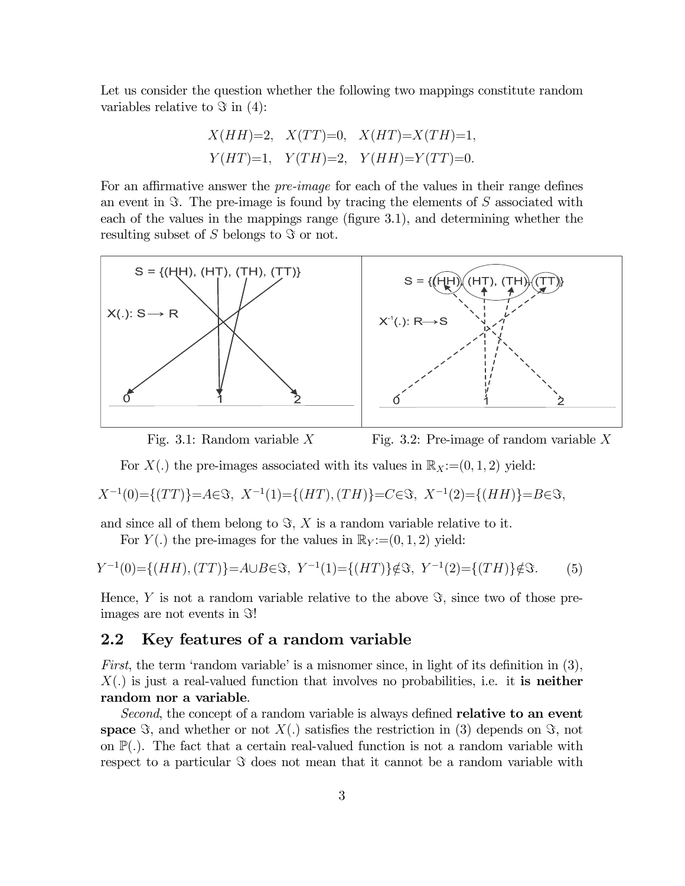Let us consider the question whether the following two mappings constitute random variables relative to  $\Im$  in (4):

$$
X(HH)=2
$$
,  $X(TT)=0$ ,  $X(HT)=X(TH)=1$ ,  
\n $Y(HT)=1$ ,  $Y(TH)=2$ ,  $Y(HH)=Y(TT)=0$ .

For an affirmative answer the pre-image for each of the values in their range defines an event in  $\Im$ . The pre-image is found by tracing the elements of S associated with each of the values in the mappings range (figure 3.1), and determining whether the resulting subset of  $S$  belongs to  $\Im$  or not.



Fig. 3.1: Random variable  $X$  Fig. 3.2: Pre-image of random variable  $X$ 

For  $X(.)$  the pre-images associated with its values in  $\mathbb{R}_X:=(0,1,2)$  yield:

$$
X^{-1}(0) = \{(TT)\} = A \in \mathfrak{S}, \ X^{-1}(1) = \{(HT), (TH)\} = C \in \mathfrak{S}, \ X^{-1}(2) = \{(HH)\} = B \in \mathfrak{S},
$$

and since all of them belong to  $\Im$ , X is a random variable relative to it.

For  $Y(.)$  the pre-images for the values in  $\mathbb{R}_Y = (0, 1, 2)$  yield:

$$
Y^{-1}(0) = \{(HH), (TT)\} = A \cup B \in \mathcal{F}, \ Y^{-1}(1) = \{(HT)\} \notin \mathcal{F}, \ Y^{-1}(2) = \{(TH)\} \notin \mathcal{F}.
$$
 (5)

Hence, Y is not a random variable relative to the above  $\Im$ , since two of those preimages are not events in  $\Im!$ 

# 2.2 Key features of a random variable

First, the term 'random variable' is a misnomer since, in light of its definition in (3),  $X(.)$  is just a real-valued function that involves no probabilities, i.e. it is neither random nor a variable.

Second, the concept of a random variable is always defined **relative to an event** space  $\Im$ , and whether or not  $X(.)$  satisfies the restriction in (3) depends on  $\Im$ , not on  $\mathbb{P}(\cdot)$ . The fact that a certain real-valued function is not a random variable with respect to a particular  $\Im$  does not mean that it cannot be a random variable with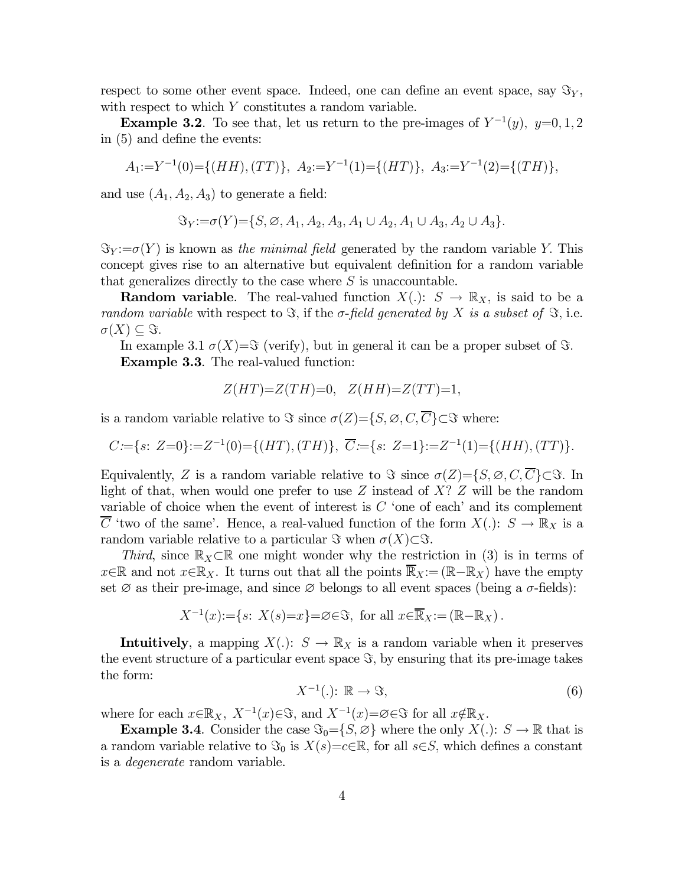respect to some other event space. Indeed, one can define an event space, say  $\mathfrak{F}_{Y}$ , with respect to which  $Y$  constitutes a random variable.

**Example 3.2**. To see that, let us return to the pre-images of  $Y^{-1}(y)$ ,  $y=0,1,2$ in (5) and define the events:

$$
A_1:=Y^{-1}(0)=\{(HH), (TT)\}, \ A_2:=Y^{-1}(1)=\{(HT)\}, \ A_3:=Y^{-1}(2)=\{(TH)\},
$$

and use  $(A_1, A_2, A_3)$  to generate a field:

 $\Im_Y := \sigma(Y) = \{ S, \emptyset, A_1, A_2, A_3, A_1 \cup A_2, A_1 \cup A_3, A_2 \cup A_3 \}.$ 

 $\mathfrak{S}_Y := \sigma(Y)$  is known as the minimal field generated by the random variable Y. This concept gives rise to an alternative but equivalent definition for a random variable that generalizes directly to the case where  $S$  is unaccountable.

**Random variable.** The real-valued function  $X(.)\colon S \to \mathbb{R}_X$ , is said to be a random variable with respect to  $\Im$ , if the  $\sigma$ -field generated by X is a subset of  $\Im$ , i.e.  $\sigma(X) \subseteq \Im.$ 

In example 3.1  $\sigma(X)=\Im$  (verify), but in general it can be a proper subset of  $\Im$ . Example 3.3. The real-valued function:

$$
Z(HT) = Z(TH) = 0, \quad Z(HH) = Z(TT) = 1,
$$

is a random variable relative to  $\Im$  since  $\sigma(Z)=\{S,\emptyset,C,\overline{C}\}\subset \Im$  where:

$$
C := \{ s \colon Z = 0 \} := Z^{-1}(0) = \{ (HT), (TH) \}, \ \overline{C} := \{ s \colon Z = 1 \} := Z^{-1}(1) = \{ (HH), (TT) \}.
$$

Equivalently, Z is a random variable relative to  $\Im$  since  $\sigma(Z)={S, \emptyset, C, \overline{C}}\subset S$ . In light of that, when would one prefer to use  $Z$  instead of  $X$ ?  $Z$  will be the random variable of choice when the event of interest is  $C$  'one of each' and its complement  $\overline{C}$  'two of the same'. Hence, a real-valued function of the form  $X(.)\colon S \to \mathbb{R}_X$  is a random variable relative to a particular  $\Im$  when  $\sigma(X)\subset \Im$ .

Third, since  $\mathbb{R}_X\subset\mathbb{R}$  one might wonder why the restriction in (3) is in terms of  $x \in \mathbb{R}$  and not  $x \in \mathbb{R}_X$ . It turns out that all the points  $\overline{\mathbb{R}}_X := (\mathbb{R} - \mathbb{R}_X)$  have the empty set  $\varnothing$  as their pre-image, and since  $\varnothing$  belongs to all event spaces (being a  $\sigma$ -fields):

$$
X^{-1}(x) := \{ s \colon X(s) = x \} = \emptyset \in \mathfrak{S}, \text{ for all } x \in \overline{\mathbb{R}}_X := (\mathbb{R} - \mathbb{R}_X).
$$

**Intuitively**, a mapping  $X(.)$ :  $S \to \mathbb{R}_X$  is a random variable when it preserves the event structure of a particular event space  $\Im$ , by ensuring that its pre-image takes the form:

$$
X^{-1}(.)\colon \mathbb{R} \to \Im,\tag{6}
$$

where for each  $x \in \mathbb{R}_X$ ,  $X^{-1}(x) \in \mathcal{F}$ , and  $X^{-1}(x) = \emptyset \in \mathcal{F}$  for all  $x \notin \mathbb{R}_X$ .

**Example 3.4.** Consider the case  $\Im_0 = \{S, \emptyset\}$  where the only  $X(.) : S \to \mathbb{R}$  that is a random variable relative to  $\Im_0$  is  $X(s)=c\in\mathbb{R}$ , for all  $s\in S$ , which defines a constant is a degenerate random variable.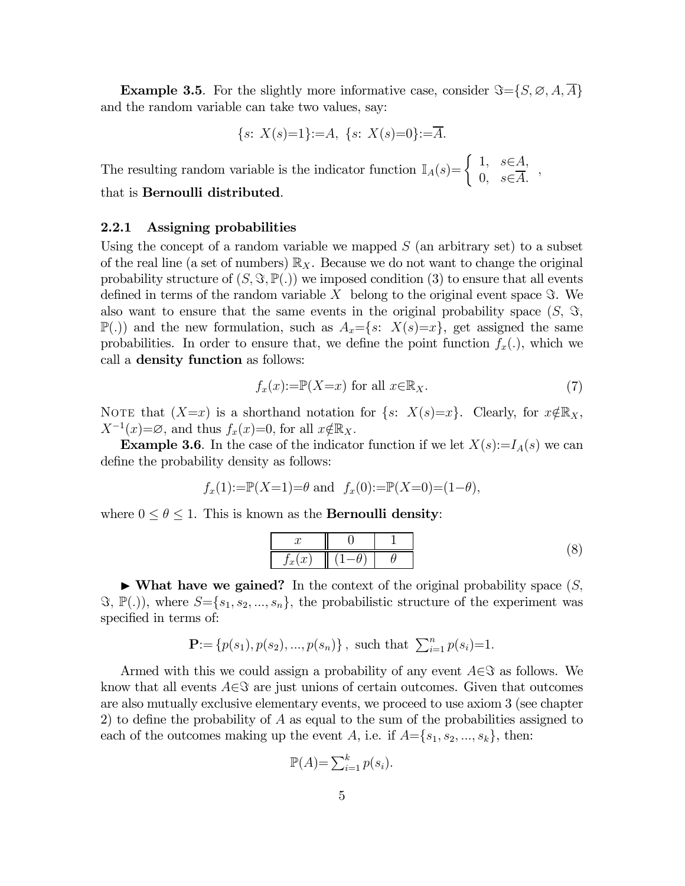**Example 3.5**. For the slightly more informative case, consider  $\Im = \{S, \emptyset, A, A\}$ and the random variable can take two values, say:

$$
{s: X(s)=1}:=A, {s: X(s)=0}:=\overline{A}.
$$

The resulting random variable is the indicator function  $\mathbb{I}_A(s) = \begin{cases} 1, & s \in A, \\ 0, & c \in \overline{A} \end{cases}$  $\begin{array}{c} 0, & \varepsilon \in \overline{A}, \\ 0, & \varepsilon \in \overline{A}. \end{array}$ 

# that is Bernoulli distributed.

## 2.2.1 Assigning probabilities

Using the concept of a random variable we mapped  $S$  (an arbitrary set) to a subset of the real line (a set of numbers)  $\mathbb{R}_X$ . Because we do not want to change the original probability structure of  $(S, \Im, \mathbb{P}(.))$  we imposed condition (3) to ensure that all events defined in terms of the random variable  $X$  belong to the original event space  $\Im$ . We also want to ensure that the same events in the original probability space  $(S, \mathcal{S},$  $\mathbb{P}(.)$  and the new formulation, such as  $A_x = \{s: X(s)=x\}$ , get assigned the same probabilities. In order to ensure that, we define the point function  $f_x(.)$ , which we call a density function as follows:

$$
f_x(x) := \mathbb{P}(X = x) \text{ for all } x \in \mathbb{R}_X. \tag{7}
$$

NOTE that  $(X=x)$  is a shorthand notation for  $\{s: X(s)=x\}$ . Clearly, for  $x \notin \mathbb{R}_X$ ,  $X^{-1}(x)=\emptyset$ , and thus  $f_x(x)=0$ , for all  $x \notin \mathbb{R}_X$ .

**Example 3.6**. In the case of the indicator function if we let  $X(s):=I_A(s)$  we can define the probability density as follows:

$$
f_x(1):=\mathbb{P}(X=1)=\theta
$$
 and  $f_x(0):=\mathbb{P}(X=0)=(1-\theta)$ ,

where  $0 \le \theta \le 1$ . This is known as the **Bernoulli density**:

$$
\begin{array}{c|c|c|c|c} x & 0 & 1 \ \hline f_x(x) & (1-\theta) & \theta \end{array} \tag{8}
$$

 $\blacktriangleright$  What have we gained? In the context of the original probability space  $(S, \mathcal{I})$  $\mathfrak{F}, \mathbb{P}(.)$ , where  $S = \{s_1, s_2, ..., s_n\}$ , the probabilistic structure of the experiment was specified in terms of:

$$
\mathbf{P} := \{p(s_1), p(s_2), ..., p(s_n)\}, \text{ such that } \sum_{i=1}^n p(s_i) = 1.
$$

Armed with this we could assign a probability of any event  $A\in\mathcal{S}$  as follows. We know that all events  $A \in \mathcal{S}$  are just unions of certain outcomes. Given that outcomes are also mutually exclusive elementary events, we proceed to use axiom 3 (see chapter 2) to define the probability of  $A$  as equal to the sum of the probabilities assigned to each of the outcomes making up the event A, i.e. if  $A = \{s_1, s_2, ..., s_k\}$ , then:

$$
\mathbb{P}(A) = \sum_{i=1}^{k} p(s_i).
$$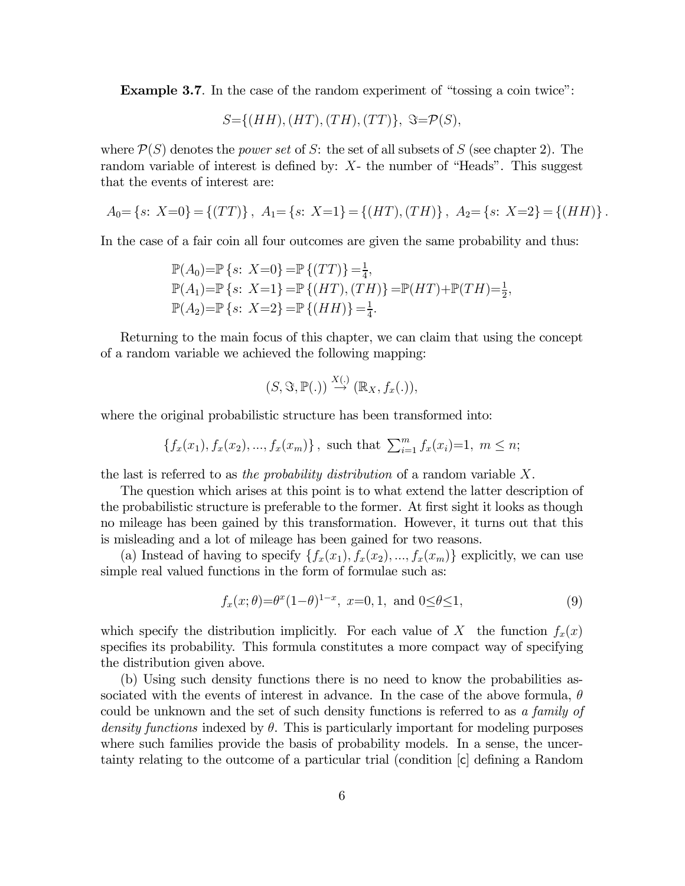Example 3.7. In the case of the random experiment of "tossing a coin twice":

$$
S = \{(HH), (HT), (TH), (TT)\}, \ \Im = \mathcal{P}(S),
$$

where  $P(S)$  denotes the *power set* of S: the set of all subsets of S (see chapter 2). The random variable of interest is defined by:  $X$ - the number of "Heads". This suggest that the events of interest are:

$$
A_0 = \{s: X=0\} = \{(TT)\}, A_1 = \{s: X=1\} = \{(HT), (TH)\}, A_2 = \{s: X=2\} = \{(HH)\}.
$$

In the case of a fair coin all four outcomes are given the same probability and thus:

$$
\mathbb{P}(A_0) = \mathbb{P}\left\{s: \ X=0\right\} = \mathbb{P}\left\{(TT)\right\} = \frac{1}{4},
$$
  
\n
$$
\mathbb{P}(A_1) = \mathbb{P}\left\{s: \ X=1\right\} = \mathbb{P}\left\{(HT), (TH)\right\} = \mathbb{P}(HT) + \mathbb{P}(TH) = \frac{1}{2},
$$
  
\n
$$
\mathbb{P}(A_2) = \mathbb{P}\left\{s: \ X=2\right\} = \mathbb{P}\left\{(HH)\right\} = \frac{1}{4}.
$$

Returning to the main focus of this chapter, we can claim that using the concept of a random variable we achieved the following mapping:

$$
(S, \Im, \mathbb{P}(.)) \stackrel{X(.)}{\rightarrow} (\mathbb{R}_X, f_x(.)),
$$

where the original probabilistic structure has been transformed into:

$$
\{f_x(x_1), f_x(x_2), ..., f_x(x_m)\},
$$
 such that  $\sum_{i=1}^m f_x(x_i)=1, m \le n;$ 

the last is referred to as the probability distribution of a random variable  $X$ .

The question which arises at this point is to what extend the latter description of the probabilistic structure is preferable to the former. At first sight it looks as though no mileage has been gained by this transformation. However, it turns out that this is misleading and a lot of mileage has been gained for two reasons.

(a) Instead of having to specify  $\{f_x(x_1), f_x(x_2), ..., f_x(x_m)\}\$ explicitly, we can use simple real valued functions in the form of formulae such as:

$$
f_x(x; \theta) = \theta^x (1-\theta)^{1-x}, \ x=0, 1, \text{ and } 0 \le \theta \le 1,
$$
 (9)

which specify the distribution implicitly. For each value of X the function  $f_x(x)$ specifies its probability. This formula constitutes a more compact way of specifying the distribution given above.

(b) Using such density functions there is no need to know the probabilities associated with the events of interest in advance. In the case of the above formula,  $\theta$ could be unknown and the set of such density functions is referred to as a family of density functions indexed by  $\theta$ . This is particularly important for modeling purposes where such families provide the basis of probability models. In a sense, the uncertainty relating to the outcome of a particular trial (condition [c] defining a Random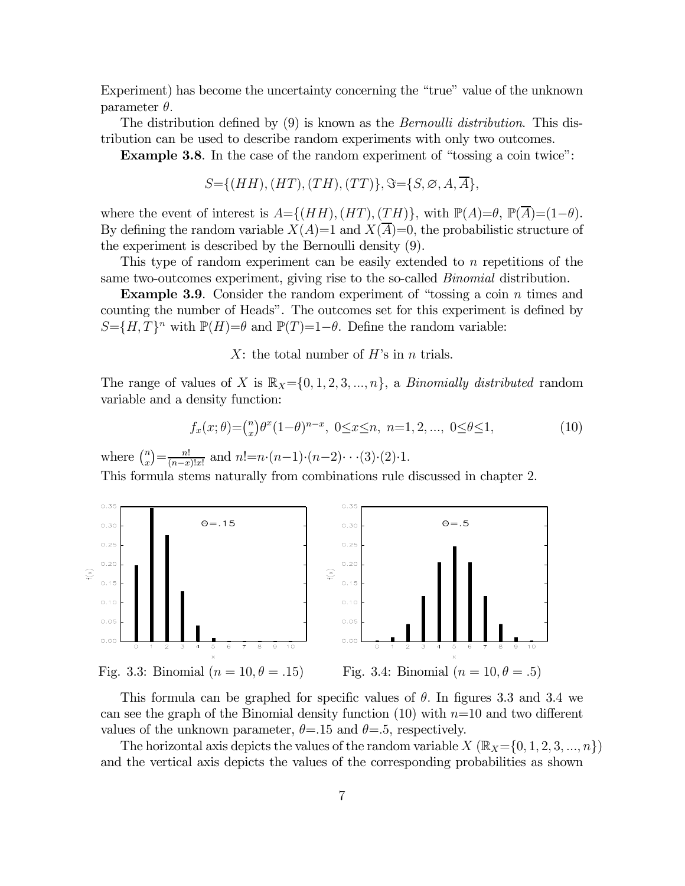Experiment) has become the uncertainty concerning the "true" value of the unknown parameter  $\theta$ .

The distribution defined by (9) is known as the *Bernoulli distribution*. This distribution can be used to describe random experiments with only two outcomes.

Example 3.8. In the case of the random experiment of "tossing a coin twice":

$$
S = \{(HH), (HT), (TH), (TT)\}, \Im = \{S, \emptyset, A, \overline{A}\},
$$

where the event of interest is  $A = \{(HH), (HT), (TH)\}$ , with  $\mathbb{P}(A) = \theta$ ,  $\mathbb{P}(A) = (1-\theta)$ . By defining the random variable  $X(A)=1$  and  $X(\overline{A})=0$ , the probabilistic structure of the experiment is described by the Bernoulli density (9).

This type of random experiment can be easily extended to  $n$  repetitions of the same two-outcomes experiment, giving rise to the so-called *Binomial* distribution.

**Example 3.9.** Consider the random experiment of "tossing a coin  $n$  times and counting the number of Heads". The outcomes set for this experiment is defined by  $S = \{ H, T \}^n$  with  $\mathbb{P}(H) = \theta$  and  $\mathbb{P}(T)=1-\theta$ . Define the random variable:

X: the total number of  $H$ 's in  $n$  trials.

The range of values of X is  $\mathbb{R}_X = \{0, 1, 2, 3, ..., n\}$ , a *Binomially distributed* random variable and a density function:

$$
f_x(x; \theta) = {n \choose x} \theta^x (1-\theta)^{n-x}, \ 0 \le x \le n, \ n=1, 2, ..., \ 0 \le \theta \le 1,
$$
 (10)

where  $\binom{n}{x} = \frac{n!}{(n-x)!x!}$  and  $n! = n \cdot (n-1) \cdot (n-2) \cdot \cdot \cdot (3) \cdot (2) \cdot 1$ .

This formula stems naturally from combinations rule discussed in chapter 2.



This formula can be graphed for specific values of  $\theta$ . In figures 3.3 and 3.4 we can see the graph of the Binomial density function  $(10)$  with  $n=10$  and two different values of the unknown parameter,  $\theta = 15$  and  $\theta = 5$ , respectively.

The horizontal axis depicts the values of the random variable  $X(\mathbb{R}_{X}=\{0,1,2,3, ..., n\})$ and the vertical axis depicts the values of the corresponding probabilities as shown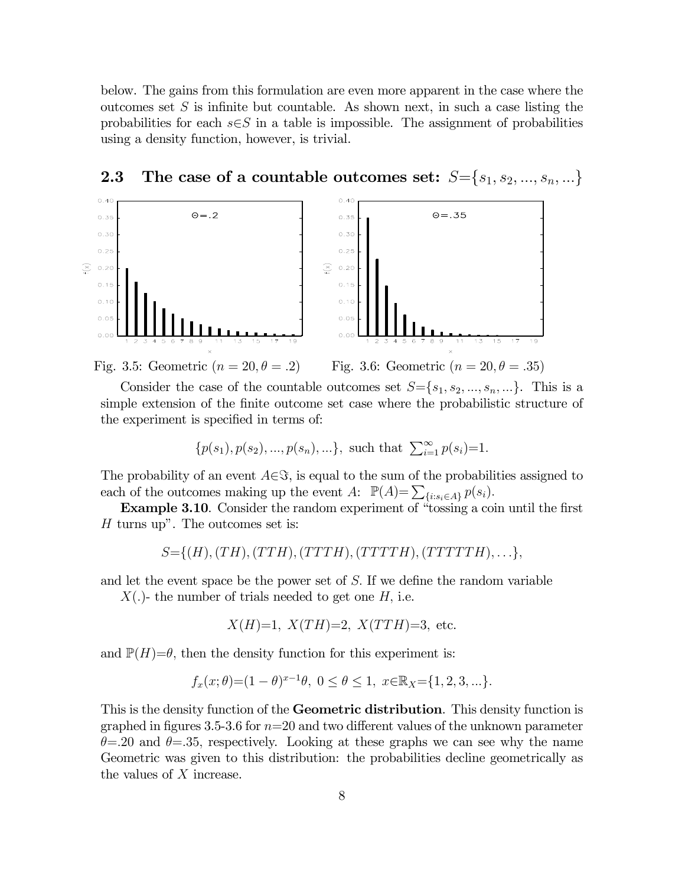below. The gains from this formulation are even more apparent in the case where the outcomes set  $S$  is infinite but countable. As shown next, in such a case listing the probabilities for each  $s \in S$  in a table is impossible. The assignment of probabilities using a density function, however, is trivial.



# **2.3** The case of a countable outcomes set:  $S = \{s_1, s_2, ..., s_n, ...\}$

Consider the case of the countable outcomes set  $S = \{s_1, s_2, ..., s_n, ...\}$ . This is a simple extension of the finite outcome set case where the probabilistic structure of the experiment is specified in terms of:

$$
\{p(s_1), p(s_2), ..., p(s_n), ...\},
$$
 such that  $\sum_{i=1}^{\infty} p(s_i)=1.$ 

The probability of an event  $A\in\mathcal{S}$ , is equal to the sum of the probabilities assigned to each of the outcomes making up the event A:  $\mathbb{P}(A) = \sum_{i} \{i : s_i \in A\} p(s_i).$ 

Example 3.10. Consider the random experiment of "tossing a coin until the first  $H$  turns up". The outcomes set is:

$$
S=\{(H),(TH),(TTH),(TTTH),(TTTTTH),(TTTTTH),\ldots\},\
$$

and let the event space be the power set of  $S$ . If we define the random variable

 $X(.)$ - the number of trials needed to get one H, i.e.

$$
X(H)=1
$$
,  $X(TH)=2$ ,  $X(TTH)=3$ , etc.

and  $\mathbb{P}(H)=\theta$ , then the density function for this experiment is:

$$
f_x(x; \theta) = (1 - \theta)^{x-1}\theta, 0 \le \theta \le 1, x \in \mathbb{R}_X = \{1, 2, 3, ...\}.
$$

This is the density function of the **Geometric distribution**. This density function is graphed in figures 3.5-3.6 for  $n=20$  and two different values of the unknown parameter  $\theta = 20$  and  $\theta = 35$ , respectively. Looking at these graphs we can see why the name Geometric was given to this distribution: the probabilities decline geometrically as the values of  $X$  increase.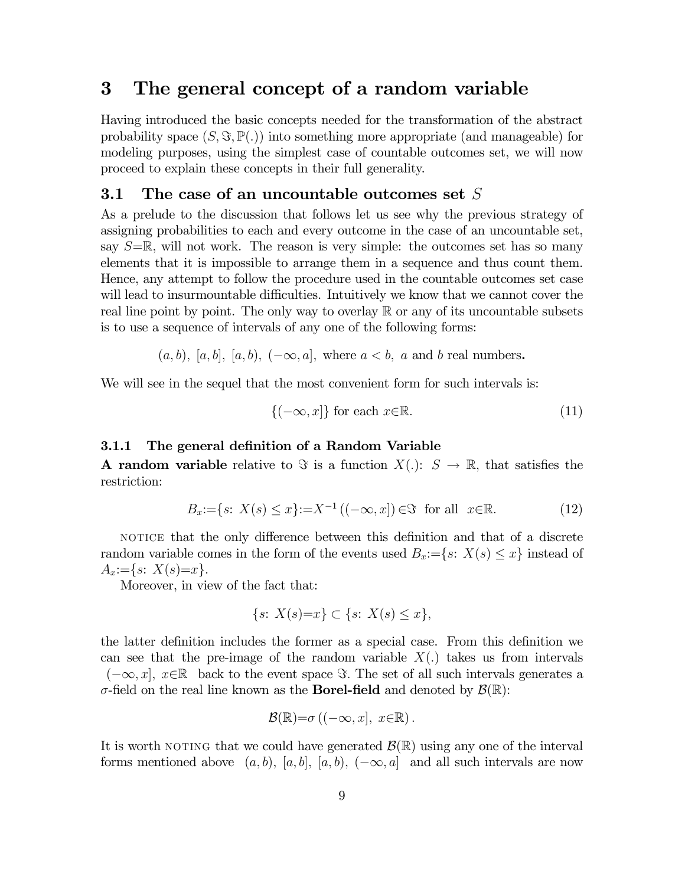# 3 The general concept of a random variable

Having introduced the basic concepts needed for the transformation of the abstract probability space  $(S, \Im, \mathbb{P}(.))$  into something more appropriate (and manageable) for modeling purposes, using the simplest case of countable outcomes set, we will now proceed to explain these concepts in their full generality.

## 3.1 The case of an uncountable outcomes set  $S$

As a prelude to the discussion that follows let us see why the previous strategy of assigning probabilities to each and every outcome in the case of an uncountable set, say  $S=\mathbb{R}$ , will not work. The reason is very simple: the outcomes set has so many elements that it is impossible to arrange them in a sequence and thus count them. Hence, any attempt to follow the procedure used in the countable outcomes set case will lead to insurmountable difficulties. Intuitively we know that we cannot cover the real line point by point. The only way to overlay  $\mathbb R$  or any of its uncountable subsets is to use a sequence of intervals of any one of the following forms:

$$
(a, b), [a, b], [a, b), (-\infty, a],
$$
 where  $a < b$ , a and b real numbers.

We will see in the sequel that the most convenient form for such intervals is:

$$
\{(-\infty, x]\} \text{ for each } x \in \mathbb{R}.\tag{11}
$$

#### 3.1.1 The general definition of a Random Variable

**A random variable** relative to  $\Im$  is a function  $X(.)$ :  $S \rightarrow \mathbb{R}$ , that satisfies the restriction:

$$
B_x := \{ s \colon X(s) \le x \} := X^{-1} \left( (-\infty, x] \right) \in \mathfrak{F} \text{ for all } x \in \mathbb{R}.
$$
 (12)

notice that the only difference between this definition and that of a discrete random variable comes in the form of the events used  $B_x = \{s: X(s) \leq x\}$  instead of  $A_x:=\{s: X(s)=x\}.$ 

Moreover, in view of the fact that:

$$
\{s: X(s)=x\} \subset \{s: X(s) \le x\},\
$$

the latter definition includes the former as a special case. From this definition we can see that the pre-image of the random variable  $X(.)$  takes us from intervals  $(-\infty, x]$ ,  $x \in \mathbb{R}$  back to the event space  $\Im$ . The set of all such intervals generates a  $\sigma$ -field on the real line known as the **Borel-field** and denoted by  $\mathcal{B}(\mathbb{R})$ :

$$
\mathcal{B}(\mathbb{R}) = \sigma ((-\infty, x], x \in \mathbb{R}).
$$

It is worth NOTING that we could have generated  $\mathcal{B}(\mathbb{R})$  using any one of the interval forms mentioned above  $(a, b)$ ,  $[a, b]$ ,  $[a, b)$ ,  $(-\infty, a]$  and all such intervals are now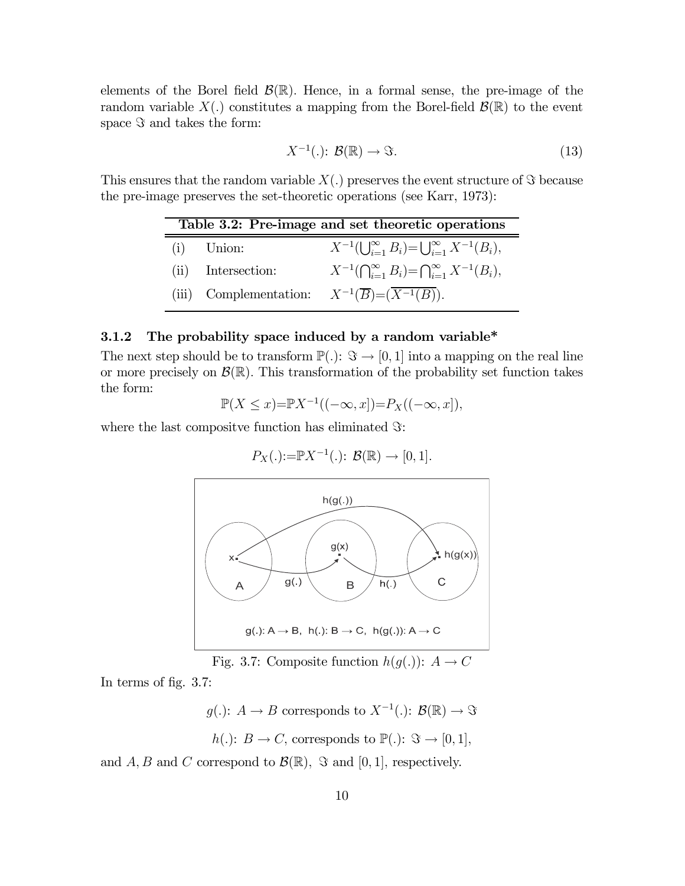elements of the Borel field  $\mathcal{B}(\mathbb{R})$ . Hence, in a formal sense, the pre-image of the random variable  $X(.)$  constitutes a mapping from the Borel-field  $\mathcal{B}(\mathbb{R})$  to the event space  $\Im$  and takes the form:

$$
X^{-1}(.)\colon \mathcal{B}(\mathbb{R}) \to \Im. \tag{13}
$$

This ensures that the random variable  $X(.)$  preserves the event structure of  $\Im$  because the pre-image preserves the set-theoretic operations (see Karr, 1973):

| Table 3.2: Pre-image and set theoretic operations |                    |                                                                            |  |  |  |
|---------------------------------------------------|--------------------|----------------------------------------------------------------------------|--|--|--|
|                                                   | $(i)$ Union:       | $X^{-1}(\bigcup_{i=1}^{\infty} B_i) = \bigcup_{i=1}^{\infty} X^{-1}(B_i),$ |  |  |  |
|                                                   | (ii) Intersection: | $X^{-1}(\bigcap_{i=1}^{\infty} B_i) = \bigcap_{i=1}^{\infty} X^{-1}(B_i),$ |  |  |  |
|                                                   |                    | (iii) Complementation: $X^{-1}(\overline{B}) = (\overline{X^{-1}(B)})$ .   |  |  |  |

#### 3.1.2 The probability space induced by a random variable\*

The next step should be to transform  $\mathbb{P}(.): \mathcal{F} \to [0,1]$  into a mapping on the real line or more precisely on  $\mathcal{B}(\mathbb{R})$ . This transformation of the probability set function takes the form:

$$
\mathbb{P}(X \le x) = \mathbb{P}X^{-1}((-\infty, x]) = P_X((-\infty, x]),
$$

where the last compositive function has eliminated  $\Im$ :

$$
P_X(.):=\mathbb{P}X^{-1}(.)\colon\mathcal{B}(\mathbb{R})\to[0,1].
$$



Fig. 3.7: Composite function  $h(g(.))$ :  $A \rightarrow C$ 

In terms of fig. 3.7:

 $g(.)\colon A \to B$  corresponds to  $X^{-1}(.)\colon B(\mathbb{R}) \to \mathfrak{S}$  $\mathbb{D}(\cdot), \alpha \in [0, 1]$ 

$$
h(.)
$$
:  $B \to C$ , corresponds to  $\mathbb{P}(.)$ :  $\Im \to [0,1]$ 

and A, B and C correspond to  $\mathcal{B}(\mathbb{R})$ ,  $\Im$  and  $[0, 1]$ , respectively.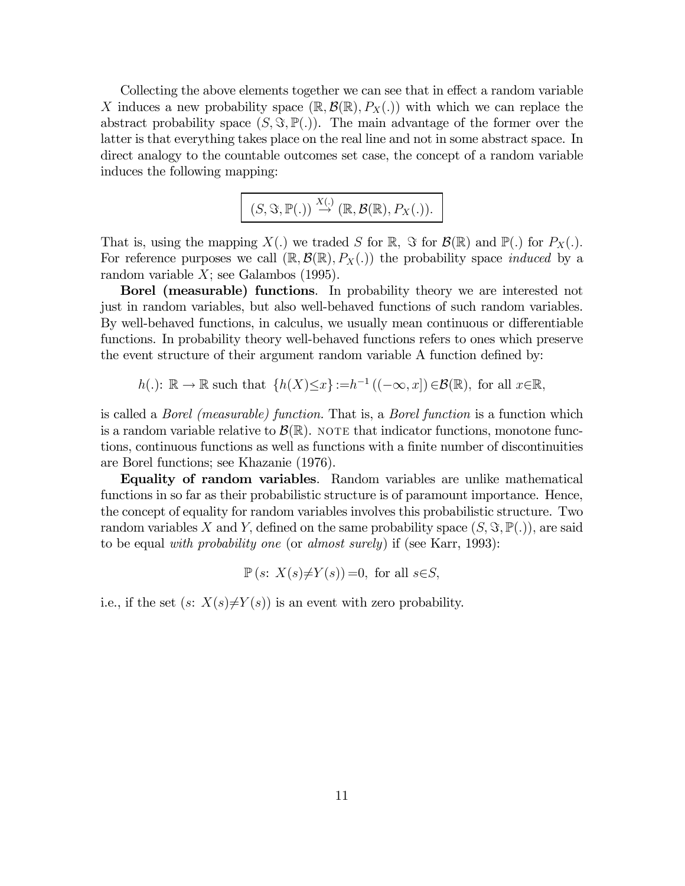Collecting the above elements together we can see that in effect a random variable X induces a new probability space  $(\mathbb{R}, \mathcal{B}(\mathbb{R}), P_X(.)$  with which we can replace the abstract probability space  $(S, \Im, \mathbb{P}(.))$ . The main advantage of the former over the latter is that everything takes place on the real line and not in some abstract space. In direct analogy to the countable outcomes set case, the concept of a random variable induces the following mapping:

$$
(S, \Im, \mathbb{P}(.) ) \stackrel{X(.)}{\rightarrow} (\mathbb{R}, \mathcal{B}(\mathbb{R}), P_X(.)).
$$

That is, using the mapping  $X(.)$  we traded S for  $\mathbb{R}$ ,  $\Im$  for  $\mathcal{B}(\mathbb{R})$  and  $\mathbb{P}(.)$  for  $P_X(.)$ . For reference purposes we call  $(\mathbb{R}, \mathcal{B}(\mathbb{R}), P_X(.)$  the probability space *induced* by a random variable  $X$ ; see Galambos (1995).

Borel (measurable) functions. In probability theory we are interested not just in random variables, but also well-behaved functions of such random variables. By well-behaved functions, in calculus, we usually mean continuous or differentiable functions. In probability theory well-behaved functions refers to ones which preserve the event structure of their argument random variable A function defined by:

 $h(.)\colon \mathbb{R} \to \mathbb{R}$  such that  $\{h(X)\leq x\} := h^{-1}((-\infty, x]) \in \mathcal{B}(\mathbb{R})$ , for all  $x \in \mathbb{R}$ ,

is called a Borel (measurable) function. That is, a Borel function is a function which is a random variable relative to  $\mathcal{B}(\mathbb{R})$ . NOTE that indicator functions, monotone functions, continuous functions as well as functions with a finite number of discontinuities are Borel functions; see Khazanie (1976).

Equality of random variables. Random variables are unlike mathematical functions in so far as their probabilistic structure is of paramount importance. Hence, the concept of equality for random variables involves this probabilistic structure. Two random variables X and Y, defined on the same probability space  $(S, \Im, \mathbb{P}(.))$ , are said to be equal with probability one (or almost surely) if (see Karr, 1993):

 $\mathbb{P}(s: X(s) \neq Y(s)) = 0$ , for all  $s \in S$ ,

i.e., if the set  $(s: X(s) \neq Y(s))$  is an event with zero probability.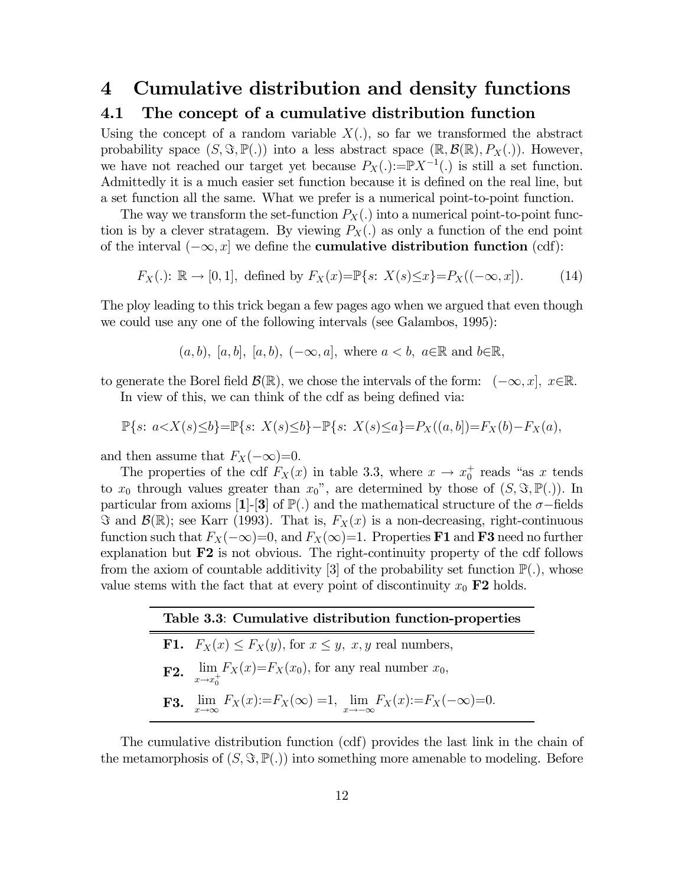# 4 Cumulative distribution and density functions

# 4.1 The concept of a cumulative distribution function

Using the concept of a random variable  $X(.)$ , so far we transformed the abstract probability space  $(S, \Im, \mathbb{P}(.))$  into a less abstract space  $(\mathbb{R}, \mathcal{B}(\mathbb{R}), P_X(.)$ . However, we have not reached our target yet because  $P_X(.):=\mathbb{P}X^{-1}(.)$  is still a set function. Admittedly it is a much easier set function because it is defined on the real line, but a set function all the same. What we prefer is a numerical point-to-point function.

The way we transform the set-function  $P_X(.)$  into a numerical point-to-point function is by a clever stratagem. By viewing  $P_X(.)$  as only a function of the end point of the interval  $(-\infty, x]$  we define the **cumulative distribution function** (cdf):

$$
F_X(.)
$$
:  $\mathbb{R} \to [0,1]$ , defined by  $F_X(x) = \mathbb{P}\{s: X(s) \le x\} = P_X((-\infty, x])$ . (14)

The ploy leading to this trick began a few pages ago when we argued that even though we could use any one of the following intervals (see Galambos, 1995):

$$
(a, b), [a, b], [a, b), (-\infty, a],
$$
 where  $a < b, a \in \mathbb{R}$  and  $b \in \mathbb{R}$ ,

to generate the Borel field  $\mathcal{B}(\mathbb{R})$ , we chose the intervals of the form:  $(-\infty, x]$ ,  $x \in \mathbb{R}$ . In view of this, we can think of the cdf as being defined via:

$$
\mathbb{P}\{s: a < X(s) \le b\} = \mathbb{P}\{s: X(s) \le b\} - \mathbb{P}\{s: X(s) \le a\} = P_X((a, b]) = F_X(b) - F_X(a),
$$

and then assume that  $F_X(-\infty)=0$ .

The properties of the cdf  $F_X(x)$  in table 3.3, where  $x \to x_0^+$  reads "as x tends" to  $x_0$  through values greater than  $x_0$ ", are determined by those of  $(S, \Im, \mathbb{P}(.))$ . In particular from axioms [1]-[3] of  $\mathbb{P}(.)$  and the mathematical structure of the  $\sigma$ -fields  $\Im$  and  $\mathcal{B}(\mathbb{R})$ ; see Karr (1993). That is,  $F_X(x)$  is a non-decreasing, right-continuous function such that  $F_X(-\infty)=0$ , and  $F_X(\infty)=1$ . Properties **F1** and **F3** need no further explanation but  $F2$  is not obvious. The right-continuity property of the cdf follows from the axiom of countable additivity [3] of the probability set function  $\mathbb{P}(.)$ , whose value stems with the fact that at every point of discontinuity  $x_0$  F2 holds.

| Table 3.3: Cumulative distribution function-properties |                                                                                                                  |  |  |  |
|--------------------------------------------------------|------------------------------------------------------------------------------------------------------------------|--|--|--|
|                                                        | <b>F1.</b> $F_X(x) \leq F_X(y)$ , for $x \leq y$ , x, y real numbers,                                            |  |  |  |
|                                                        | <b>F2.</b> $\lim_{x \to x_0^+} F_X(x) = F_X(x_0)$ , for any real number $x_0$ ,                                  |  |  |  |
|                                                        | <b>F3.</b> $\lim_{x \to \infty} F_X(x) := F_X(\infty) = 1$ , $\lim_{x \to -\infty} F_X(x) := F_X(-\infty) = 0$ . |  |  |  |

The cumulative distribution function (cdf) provides the last link in the chain of the metamorphosis of  $(S, \Im, \mathbb{P}(.))$  into something more amenable to modeling. Before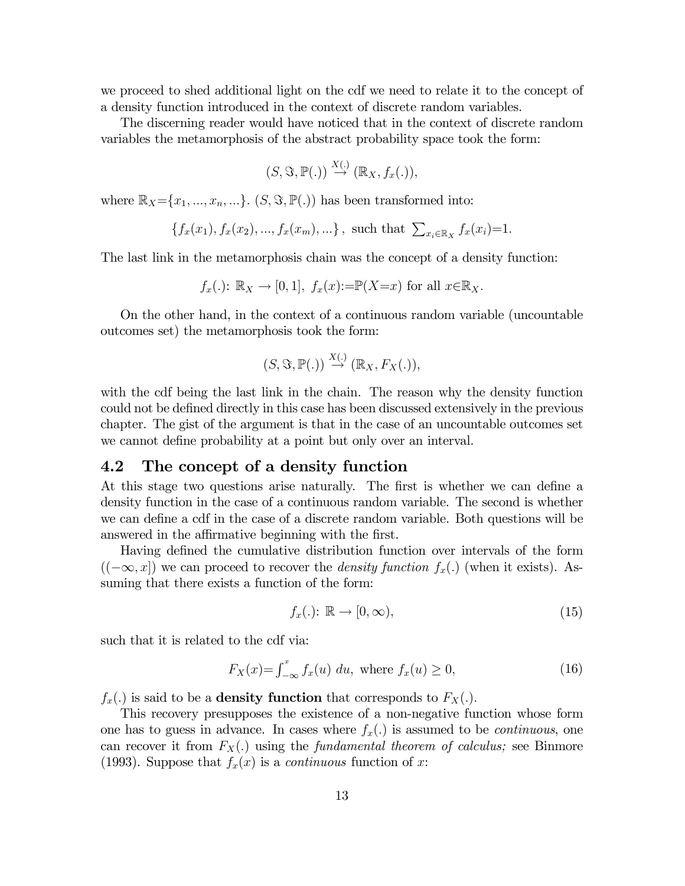we proceed to shed additional light on the cdf we need to relate it to the concept of a density function introduced in the context of discrete random variables.

The discerning reader would have noticed that in the context of discrete random variables the metamorphosis of the abstract probability space took the form:

$$
(S, \Im, \mathbb{P}(.)) \stackrel{X(.)}{\rightarrow} (\mathbb{R}_X, f_x(.)),
$$

where  $\mathbb{R}_X = \{x_1, ..., x_n, ...\}$ .  $(S, \Im, \mathbb{P}(.))$  has been transformed into:

$$
\{f_x(x_1), f_x(x_2), ..., f_x(x_m), ...\},
$$
 such that  $\sum_{x_i \in \mathbb{R}_X} f_x(x_i) = 1.$ 

The last link in the metamorphosis chain was the concept of a density function:

$$
f_x(.)
$$
:  $\mathbb{R}_X \to [0,1], f_x(x) := \mathbb{P}(X=x)$  for all  $x \in \mathbb{R}_X$ .

On the other hand, in the context of a continuous random variable (uncountable outcomes set) the metamorphosis took the form:

$$
(S, \Im, \mathbb{P}(.)) \stackrel{X(.)}{\rightarrow} (\mathbb{R}_X, F_X(.)),
$$

with the cdf being the last link in the chain. The reason why the density function could not be defined directly in this case has been discussed extensively in the previous chapter. The gist of the argument is that in the case of an uncountable outcomes set we cannot define probability at a point but only over an interval.

# 4.2 The concept of a density function

At this stage two questions arise naturally. The first is whether we can define a density function in the case of a continuous random variable. The second is whether we can define a cdf in the case of a discrete random variable. Both questions will be answered in the affirmative beginning with the first.

Having defined the cumulative distribution function over intervals of the form  $((-\infty, x])$  we can proceed to recover the *density function*  $f_x(.)$  (when it exists). Assuming that there exists a function of the form:

$$
f_x(.): \mathbb{R} \to [0, \infty), \tag{15}
$$

such that it is related to the cdf via:

$$
F_X(x) = \int_{-\infty}^x f_x(u) \ du, \text{ where } f_x(u) \ge 0,
$$
 (16)

 $f_x(.)$  is said to be a **density function** that corresponds to  $F_X(.)$ .

This recovery presupposes the existence of a non-negative function whose form one has to guess in advance. In cases where  $f_x(.)$  is assumed to be *continuous*, one can recover it from  $F_X(.)$  using the *fundamental theorem of calculus*; see Binmore (1993). Suppose that  $f_x(x)$  is a *continuous* function of x: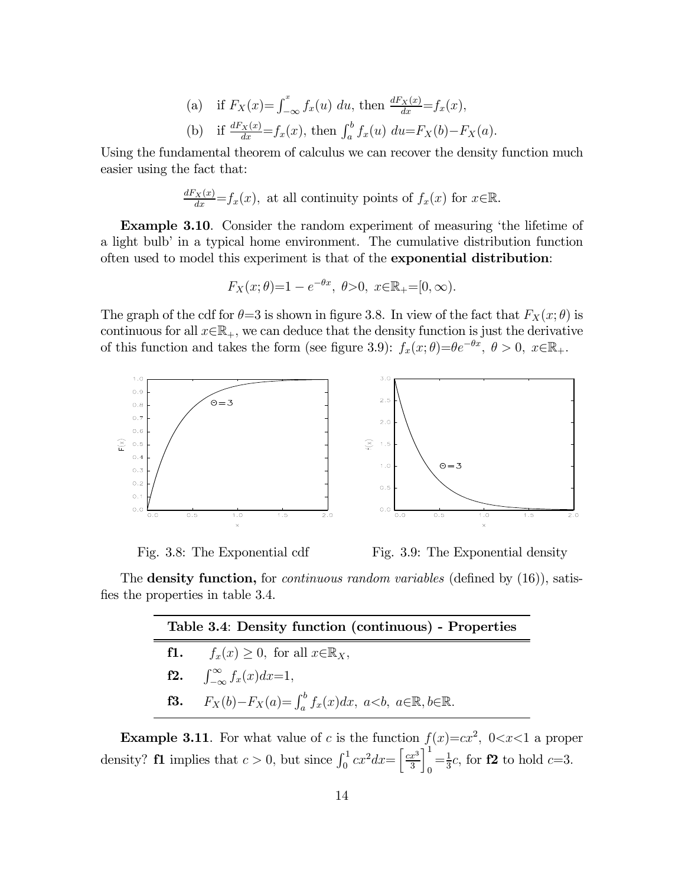(a) if 
$$
F_X(x) = \int_{-\infty}^x f_x(u) \ du
$$
, then  $\frac{dF_X(x)}{dx} = f_x(x)$ ,  
\n(b) if  $\frac{dF_X(x)}{dx} = f_x(x)$ , then  $\int_a^b f_x(u) \ du = F_X(b) - F_X(a)$ .

Using the fundamental theorem of calculus we can recover the density function much easier using the fact that:

$$
\frac{dF_X(x)}{dx} = f_x(x)
$$
, at all continuity points of  $f_x(x)$  for  $x \in \mathbb{R}$ .

Example 3.10. Consider the random experiment of measuring 'the lifetime of a light bulb' in a typical home environment. The cumulative distribution function often used to model this experiment is that of the exponential distribution:

$$
F_X(x; \theta) = 1 - e^{-\theta x}, \ \theta > 0, \ x \in \mathbb{R}_+ = [0, \infty).
$$

The graph of the cdf for  $\theta = 3$  is shown in figure 3.8. In view of the fact that  $F_X(x; \theta)$  is continuous for all  $x \in \mathbb{R}_+$ , we can deduce that the density function is just the derivative of this function and takes the form (see figure 3.9):  $f_x(x; \theta) = \theta e^{-\theta x}, \ \theta > 0, \ x \in \mathbb{R}_+$ .





Ξ

Fig. 3.8: The Exponential cdf Fig. 3.9: The Exponential density

The **density function**, for *continuous random variables* (defined by (16)), satisfies the properties in table 3.4.

| Table 3.4: Density function (continuous) - Properties |                                                                                                     |  |  |  |
|-------------------------------------------------------|-----------------------------------------------------------------------------------------------------|--|--|--|
|                                                       | <b>f1.</b> $f_x(x) \geq 0$ , for all $x \in \mathbb{R}_X$ ,                                         |  |  |  |
|                                                       | $\int_{-\infty}^{\infty} f_x(x) dx = 1,$                                                            |  |  |  |
|                                                       | <b>f3.</b> $F_X(b) - F_X(a) = \int_a^b f_x(x) dx, \ a < b, \ a \in \mathbb{R}, \ b \in \mathbb{R}.$ |  |  |  |

**Example 3.11**. For what value of c is the function  $f(x)=cx^2$ ,  $0 < x < 1$  a proper density? **f1** implies that  $c > 0$ , but since  $\int_0^1 cx^2 dx = \left[\frac{cx^3}{3}\right]$ 3  $1^1$  $\int_{0}^{-\frac{1}{3}}c$ , for **f2** to hold *c*=3.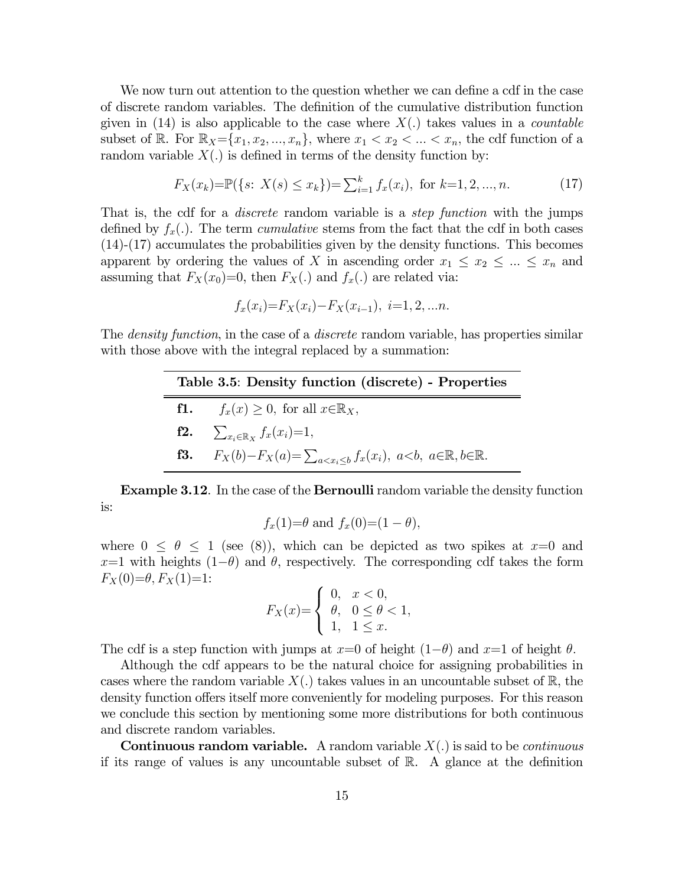We now turn out attention to the question whether we can define a cdf in the case of discrete random variables. The definition of the cumulative distribution function given in (14) is also applicable to the case where  $X(.)$  takes values in a *countable* subset of R. For  $\mathbb{R}_X = \{x_1, x_2, ..., x_n\}$ , where  $x_1 < x_2 < ... < x_n$ , the cdf function of a random variable  $X(.)$  is defined in terms of the density function by:

$$
F_X(x_k) = \mathbb{P}(\{s: X(s) \le x_k\}) = \sum_{i=1}^k f_x(x_i), \text{ for } k = 1, 2, ..., n. \tag{17}
$$

That is, the cdf for a *discrete* random variable is a *step function* with the jumps defined by  $f_x(.)$ . The term *cumulative* stems from the fact that the cdf in both cases (14)-(17) accumulates the probabilities given by the density functions. This becomes apparent by ordering the values of X in ascending order  $x_1 \le x_2 \le ... \le x_n$  and assuming that  $F_X(x_0)=0$ , then  $F_X(.)$  and  $f_x(.)$  are related via:

$$
f_x(x_i) = F_X(x_i) - F_X(x_{i-1}), i = 1, 2, ...n.
$$

The *density function*, in the case of a *discrete* random variable, has properties similar with those above with the integral replaced by a summation:

| Table 3.5: Density function (discrete) - Properties |                                                                                                              |  |  |  |
|-----------------------------------------------------|--------------------------------------------------------------------------------------------------------------|--|--|--|
|                                                     | <b>f1.</b> $f_x(x) \geq 0$ , for all $x \in \mathbb{R}_X$ ,                                                  |  |  |  |
|                                                     | <b>f2.</b> $\sum_{x_i \in \mathbb{R}_X} f_x(x_i) = 1,$                                                       |  |  |  |
|                                                     | <b>f3.</b> $F_X(b) - F_X(a) = \sum_{a < x_i < b} f_x(x_i), \ a < b, \ a \in \mathbb{R}, \ b \in \mathbb{R}.$ |  |  |  |

 $\equiv$ 

Example 3.12. In the case of the Bernoulli random variable the density function is:

$$
f_x(1)=\theta
$$
 and  $f_x(0)=(1-\theta)$ ,

where  $0 \le \theta \le 1$  (see (8)), which can be depicted as two spikes at  $x=0$  and  $x=1$  with heights  $(1-\theta)$  and  $\theta$ , respectively. The corresponding cdf takes the form  $F_X(0)=\theta, F_X(1)=1$ :

$$
F_X(x) = \begin{cases} 0, & x < 0, \\ \theta, & 0 \le \theta < 1, \\ 1, & 1 \le x. \end{cases}
$$

The cdf is a step function with jumps at  $x=0$  of height  $(1-\theta)$  and  $x=1$  of height  $\theta$ .

Although the cdf appears to be the natural choice for assigning probabilities in cases where the random variable  $X(.)$  takes values in an uncountable subset of R, the density function offers itself more conveniently for modeling purposes. For this reason we conclude this section by mentioning some more distributions for both continuous and discrete random variables.

**Continuous random variable.** A random variable  $X(.)$  is said to be *continuous* if its range of values is any uncountable subset of  $\mathbb{R}$ . A glance at the definition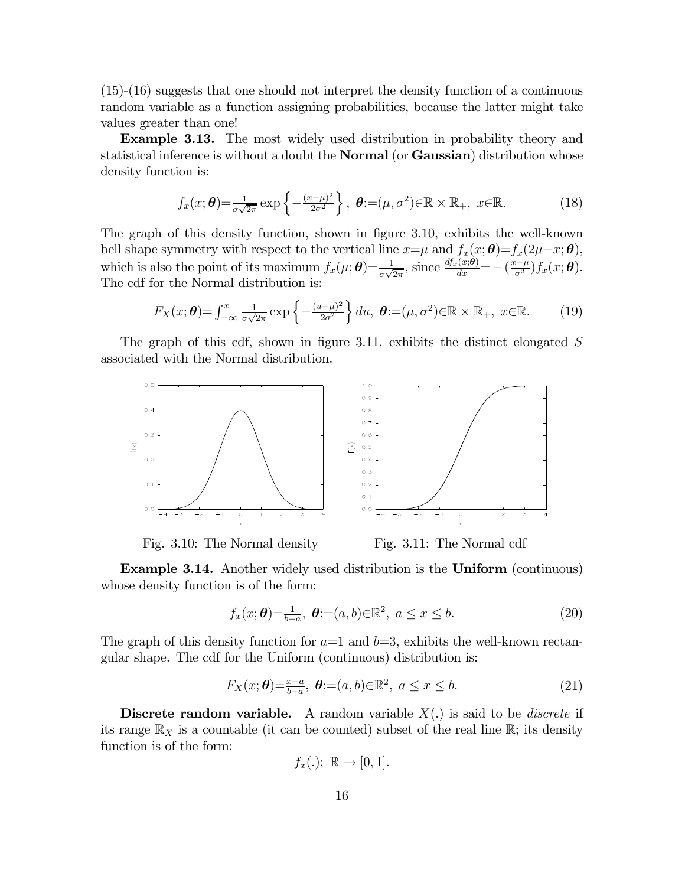(15)-(16) suggests that one should not interpret the density function of a continuous random variable as a function assigning probabilities, because the latter might take values greater than one!

Example 3.13. The most widely used distribution in probability theory and statistical inference is without a doubt the **Normal** (or **Gaussian**) distribution whose density function is:

$$
f_x(x; \boldsymbol{\theta}) = \frac{1}{\sigma\sqrt{2\pi}} \exp\left\{-\frac{(x-\mu)^2}{2\sigma^2}\right\}, \ \boldsymbol{\theta} := (\mu, \sigma^2) \in \mathbb{R} \times \mathbb{R}_+, \ x \in \mathbb{R}.
$$
 (18)

The graph of this density function, shown in figure 3.10, exhibits the well-known bell shape symmetry with respect to the vertical line  $x = \mu$  and  $f_x(x; \theta) = f_x(2\mu - x; \theta)$ , which is also the point of its maximum  $f_x(\mu; \theta) = \frac{1}{\sigma \sqrt{2\pi}}$ , since  $\frac{df_x(x;\theta)}{dx} = -\left(\frac{x-\mu}{\sigma^2}\right) f_x(x;\theta)$ . The cdf for the Normal distribution is:

$$
F_X(x; \boldsymbol{\theta}) = \int_{-\infty}^x \frac{1}{\sigma \sqrt{2\pi}} \exp\left\{-\frac{(u-\mu)^2}{2\sigma^2}\right\} du, \ \boldsymbol{\theta} := (\mu, \sigma^2) \in \mathbb{R} \times \mathbb{R}_+, \ x \in \mathbb{R}.
$$
 (19)

The graph of this cdf, shown in figure 3.11, exhibits the distinct elongated  $S$ associated with the Normal distribution.



Fig. 3.10: The Normal density Fig. 3.11: The Normal cdf

Example 3.14. Another widely used distribution is the Uniform (continuous) whose density function is of the form:

$$
f_x(x; \theta) = \frac{1}{b-a}, \ \theta := (a, b) \in \mathbb{R}^2, \ a \le x \le b.
$$
 (20)

The graph of this density function for  $a=1$  and  $b=3$ , exhibits the well-known rectangular shape. The cdf for the Uniform (continuous) distribution is:

$$
F_X(x; \theta) = \frac{x-a}{b-a}, \ \theta := (a, b) \in \mathbb{R}^2, \ a \le x \le b. \tag{21}
$$

**Discrete random variable.** A random variable  $X(.)$  is said to be *discrete* if its range  $\mathbb{R}_X$  is a countable (it can be counted) subset of the real line  $\mathbb{R}$ ; its density function is of the form:

$$
f_x(.): \mathbb{R} \to [0,1].
$$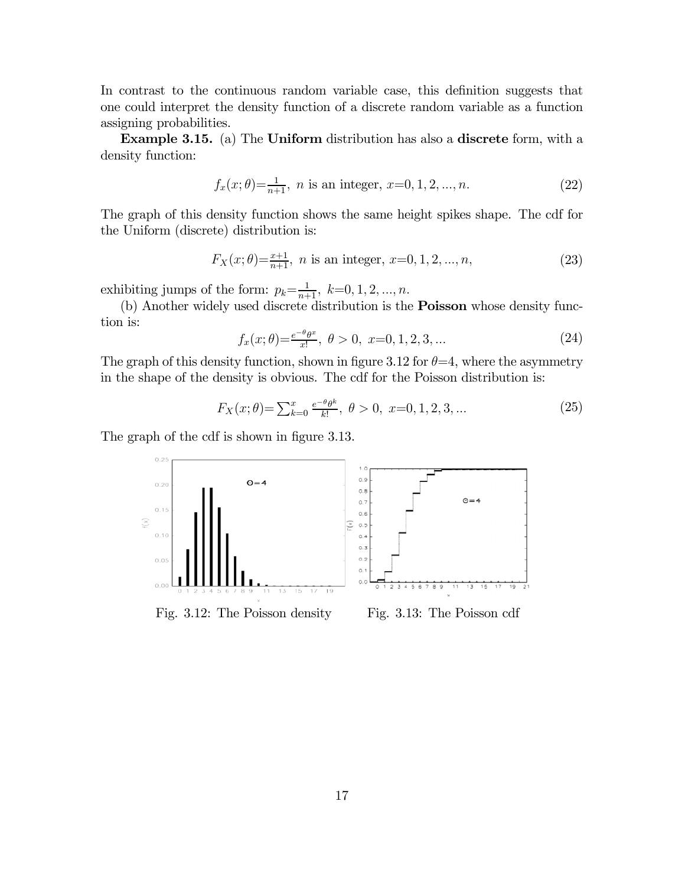In contrast to the continuous random variable case, this definition suggests that one could interpret the density function of a discrete random variable as a function assigning probabilities.

Example 3.15. (a) The Uniform distribution has also a discrete form, with a density function:

$$
f_x(x; \theta) = \frac{1}{n+1}, \ n \text{ is an integer}, \ x = 0, 1, 2, \dots, n. \tag{22}
$$

The graph of this density function shows the same height spikes shape. The cdf for the Uniform (discrete) distribution is:

$$
F_X(x; \theta) = \frac{x+1}{n+1}, \ n \text{ is an integer}, \ x = 0, 1, 2, \dots, n,
$$
\n(23)

exhibiting jumps of the form:  $p_k = \frac{1}{n+1}$ ,  $k=0, 1, 2, ..., n$ .

(b) Another widely used discrete distribution is the **Poisson** whose density function is:

$$
f_x(x; \theta) = \frac{e^{-\theta} \theta^x}{x!}, \ \theta > 0, \ x = 0, 1, 2, 3, \dots \tag{24}
$$

The graph of this density function, shown in figure 3.12 for  $\theta = 4$ , where the asymmetry in the shape of the density is obvious. The cdf for the Poisson distribution is:

$$
F_X(x; \theta) = \sum_{k=0}^x \frac{e^{-\theta} \theta^k}{k!}, \ \theta > 0, \ x = 0, 1, 2, 3, \dots \tag{25}
$$

The graph of the cdf is shown in figure 3.13.



17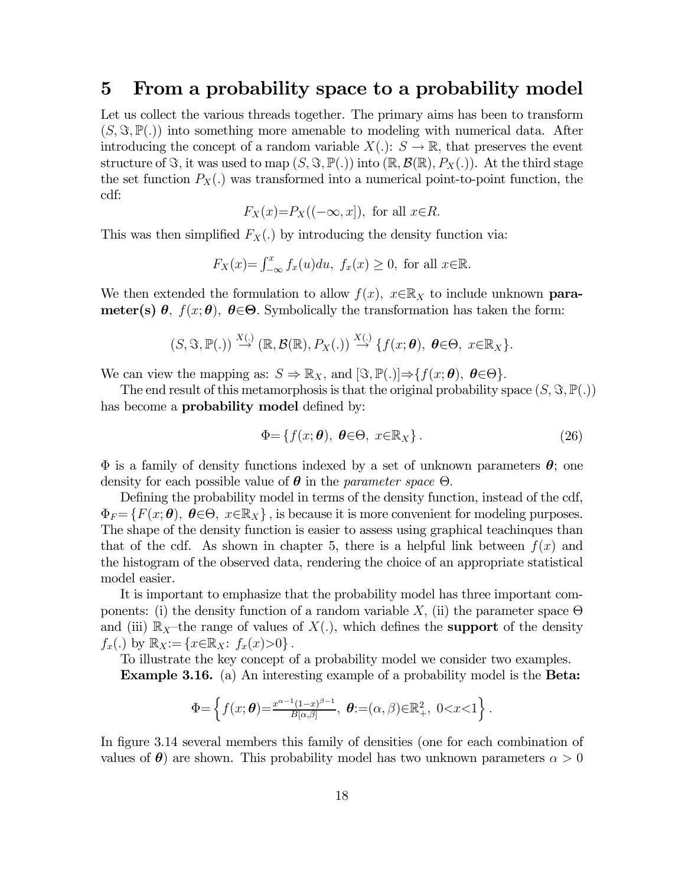# 5 From a probability space to a probability model

Let us collect the various threads together. The primary aims has been to transform  $(S, \Im, \mathbb{P}(.))$  into something more amenable to modeling with numerical data. After introducing the concept of a random variable  $X(.)\colon S\to\mathbb{R}$ , that preserves the event structure of  $\Im$ , it was used to map  $(S, \Im, \mathbb{P}(.))$  into  $(\mathbb{R}, \mathcal{B}(\mathbb{R}), P_X(.))$ . At the third stage the set function  $P_X(.)$  was transformed into a numerical point-to-point function, the cdf:

$$
F_X(x)=P_X((-\infty, x]),
$$
 for all  $x \in R$ .

This was then simplified  $F_X(.)$  by introducing the density function via:

$$
F_X(x) = \int_{-\infty}^x f_x(u) du, \ f_x(x) \ge 0, \text{ for all } x \in \mathbb{R}.
$$

We then extended the formulation to allow  $f(x)$ ,  $x \in \mathbb{R}_X$  to include unknown **parameter(s)**  $\theta$ ,  $f(x; \theta)$ ,  $\theta \in \Theta$ . Symbolically the transformation has taken the form:

$$
(S, \mathfrak{S}, \mathbb{P}(.)) \stackrel{X(.)}{\rightarrow} (\mathbb{R}, \mathcal{B}(\mathbb{R}), P_X(.)) \stackrel{X(.)}{\rightarrow} \{f(x; \theta), \ \theta \in \Theta, \ x \in \mathbb{R}_X\}.
$$

We can view the mapping as:  $S \Rightarrow \mathbb{R}_X$ , and  $[\mathfrak{F}, \mathbb{P}(\cdot)] \Rightarrow \{f(x; \theta), \theta \in \Theta\}.$ 

The end result of this metamorphosis is that the original probability space  $(S, \Im, \mathbb{P}(.))$ has become a **probability model** defined by:

$$
\Phi = \{f(x; \theta), \ \theta \in \Theta, \ x \in \mathbb{R}_X\}.
$$
\n(26)

 $\Phi$  is a family of density functions indexed by a set of unknown parameters  $\theta$ ; one density for each possible value of  $\theta$  in the *parameter space*  $\Theta$ .

Defining the probability model in terms of the density function, instead of the cdf,  $\Phi_F = \{F(x; \theta), \ \theta \in \Theta, \ x \in \mathbb{R}_X\}$ , is because it is more convenient for modeling purposes. The shape of the density function is easier to assess using graphical teachinques than that of the cdf. As shown in chapter 5, there is a helpful link between  $f(x)$  and the histogram of the observed data, rendering the choice of an appropriate statistical model easier.

It is important to emphasize that the probability model has three important components: (i) the density function of a random variable X, (ii) the parameter space  $\Theta$ and (iii)  $\mathbb{R}_X$ -the range of values of  $X(.)$ , which defines the **support** of the density  $f_x(.)$  by  $\mathbb{R}_X := \{x \in \mathbb{R}_X : f_x(x) > 0\}$ .

To illustrate the key concept of a probability model we consider two examples.

Example 3.16. (a) An interesting example of a probability model is the Beta:

$$
\Phi = \left\{ f(x; \boldsymbol{\theta}) = \frac{x^{\alpha-1}(1-x)^{\beta-1}}{B[\alpha, \beta]}, \ \boldsymbol{\theta} := (\alpha, \beta) \in \mathbb{R}^2_+, \ 0 < x < 1 \right\}.
$$

In figure 3.14 several members this family of densities (one for each combination of values of  $\theta$ ) are shown. This probability model has two unknown parameters  $\alpha > 0$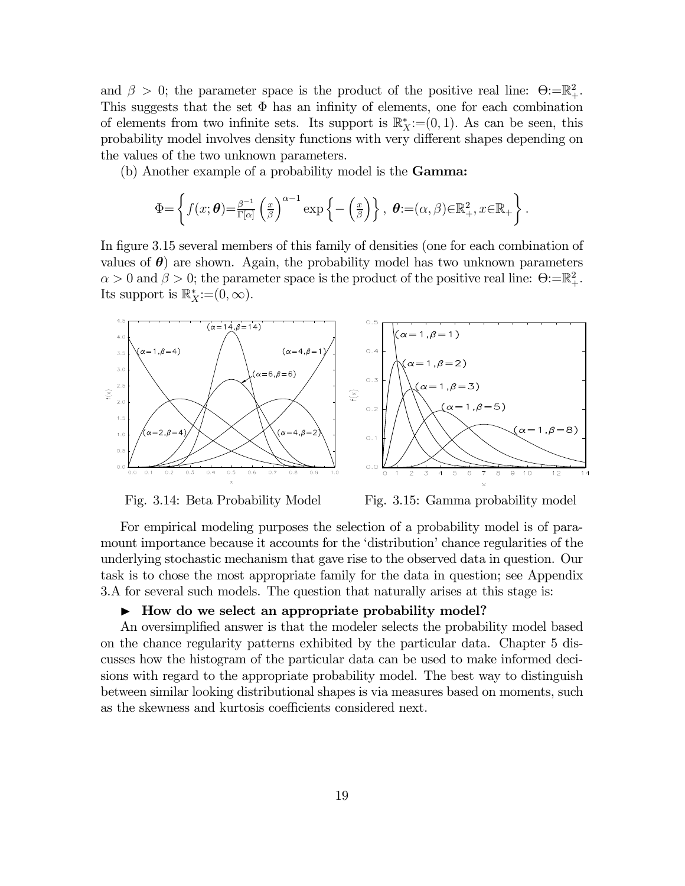and  $\beta > 0$ ; the parameter space is the product of the positive real line:  $\Theta = \mathbb{R}^2_+$ . This suggests that the set  $\Phi$  has an infinity of elements, one for each combination of elements from two infinite sets. Its support is  $\mathbb{R}^*_X := (0,1)$ . As can be seen, this probability model involves density functions with very different shapes depending on the values of the two unknown parameters.

(b) Another example of a probability model is the Gamma:

$$
\Phi = \left\{ f(x; \boldsymbol{\theta}) = \frac{\beta^{-1}}{\Gamma[\alpha]} \left( \frac{x}{\beta} \right)^{\alpha - 1} \exp \left\{ - \left( \frac{x}{\beta} \right) \right\}, \ \boldsymbol{\theta} := (\alpha, \beta) \in \mathbb{R}^2_+, x \in \mathbb{R}_+ \right\}.
$$

In figure 3.15 several members of this family of densities (one for each combination of values of  $\theta$ ) are shown. Again, the probability model has two unknown parameters  $\alpha > 0$  and  $\beta > 0$ ; the parameter space is the product of the positive real line:  $\Theta = \mathbb{R}^2_+$ . Its support is  $\mathbb{R}_X^*$ := $(0,\infty)$ .





Fig. 3.14: Beta Probability Model Fig. 3.15: Gamma probability model

For empirical modeling purposes the selection of a probability model is of paramount importance because it accounts for the 'distribution' chance regularities of the underlying stochastic mechanism that gave rise to the observed data in question. Our task is to chose the most appropriate family for the data in question; see Appendix 3.A for several such models. The question that naturally arises at this stage is:

#### $\blacktriangleright$  How do we select an appropriate probability model?

An oversimplified answer is that the modeler selects the probability model based on the chance regularity patterns exhibited by the particular data. Chapter 5 discusses how the histogram of the particular data can be used to make informed decisions with regard to the appropriate probability model. The best way to distinguish between similar looking distributional shapes is via measures based on moments, such as the skewness and kurtosis coefficients considered next.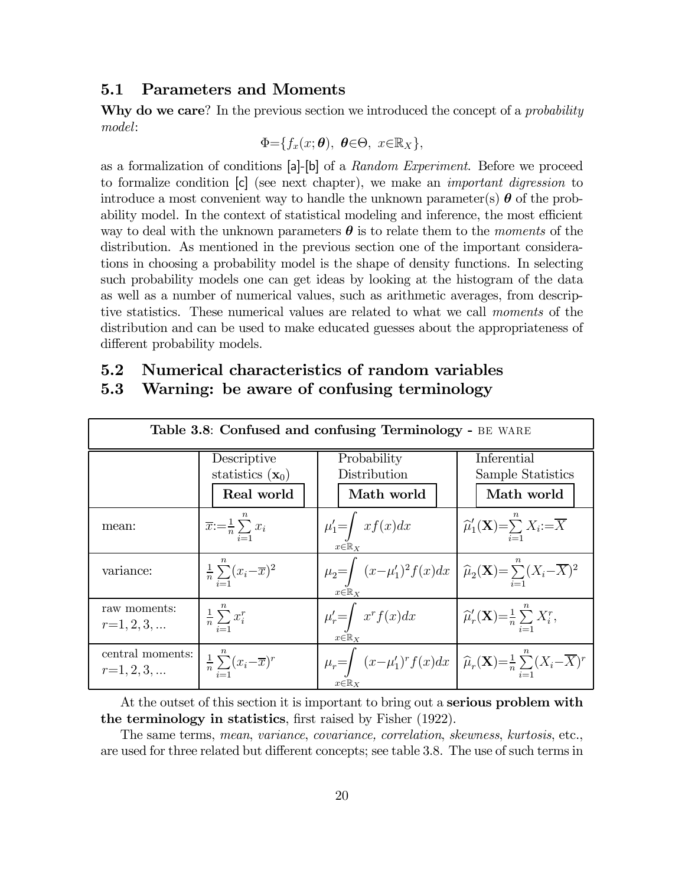# 5.1 Parameters and Moments

Why do we care? In the previous section we introduced the concept of a *probability* model:

$$
\Phi = \{f_x(x;\boldsymbol{\theta}), \ \boldsymbol{\theta} \in \Theta, \ x \in \mathbb{R}_X\},\
$$

as a formalization of conditions [a]-[b] of a Random Experiment. Before we proceed to formalize condition  $\lbrack c \rbrack$  (see next chapter), we make an *important digression* to introduce a most convenient way to handle the unknown parameter(s)  $\theta$  of the probability model. In the context of statistical modeling and inference, the most efficient way to deal with the unknown parameters  $\boldsymbol{\theta}$  is to relate them to the moments of the distribution. As mentioned in the previous section one of the important considerations in choosing a probability model is the shape of density functions. In selecting such probability models one can get ideas by looking at the histogram of the data as well as a number of numerical values, such as arithmetic averages, from descriptive statistics. These numerical values are related to what we call moments of the distribution and can be used to make educated guesses about the appropriateness of different probability models.

| Table 3.8: Confused and confusing Terminology - BE WARE |                                                 |                                                                                                                                                   |                                                                                 |  |  |  |
|---------------------------------------------------------|-------------------------------------------------|---------------------------------------------------------------------------------------------------------------------------------------------------|---------------------------------------------------------------------------------|--|--|--|
|                                                         | Descriptive                                     | Probability                                                                                                                                       | Inferential                                                                     |  |  |  |
|                                                         | statistics $(\mathbf{x}_0)$                     | Distribution                                                                                                                                      | Sample Statistics                                                               |  |  |  |
|                                                         | Real world                                      | Math world                                                                                                                                        | Math world                                                                      |  |  |  |
| mean:                                                   | $\overline{x}:=\frac{1}{n}\sum_{i=1}x_i$        | $\mu'_1 = \int x f(x) dx$<br>$x \in \mathbb{R}_X$                                                                                                 | $\widehat{\mu}'_1(\mathbf{X}) = \sum_{i=1}^n X_i = \overline{X}$                |  |  |  |
| variance:                                               | $\frac{1}{n}\sum_{i=1}^{n}(x_i-\overline{x})^2$ | $\mu_2 = \int (x-\mu'_1)^2 f(x) dx \left[ \widehat{\mu}_2(\mathbf{X}) = \sum_{i=1}^n (X_i - \overline{X})^2 \right]$<br>$x \in \mathbb{R}_X$      |                                                                                 |  |  |  |
| raw moments:<br>$r=1, 2, 3, $                           | $\frac{1}{n} \sum_{i=1}^n x_i^r$                | $\mu'_r = \int x^r f(x) dx$                                                                                                                       | $\left  \widehat{\mu}'_r(\mathbf{X}) = \frac{1}{n} \sum_{i=1}^n X_i^r, \right.$ |  |  |  |
| central moments:<br>$r=1,2,3,$                          | $\frac{1}{n}\sum_{i=1}^{n}(x_i-\overline{x})^r$ | $\mu_r = \int (x - \mu'_1)^r f(x) dx \quad \widehat{\mu}_r(\mathbf{X}) = \frac{1}{n} \sum_{i=1}^n (X_i - \overline{X})^r$<br>$x \in \mathbb{R}$ x |                                                                                 |  |  |  |

# 5.2 Numerical characteristics of random variables

# 5.3 Warning: be aware of confusing terminology

At the outset of this section it is important to bring out a **serious problem with** the terminology in statistics, first raised by Fisher (1922).

The same terms, mean, variance, covariance, correlation, skewness, kurtosis, etc., are used for three related but different concepts; see table 3.8. The use of such terms in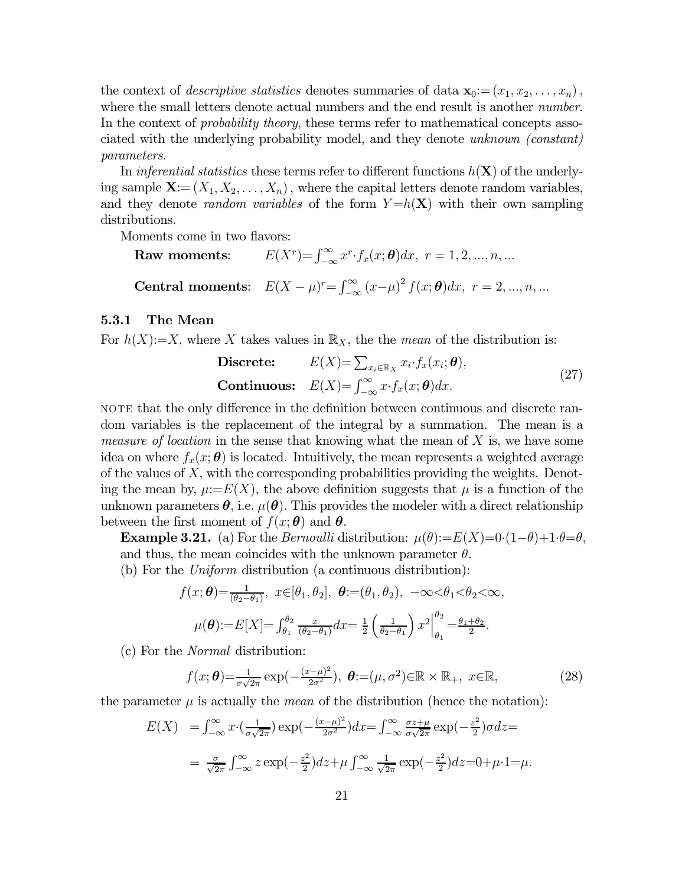the context of *descriptive statistics* denotes summaries of data  $\mathbf{x}_0:=(x_1, x_2, \ldots, x_n)$ , where the small letters denote actual numbers and the end result is another *number*. In the context of *probability theory*, these terms refer to mathematical concepts associated with the underlying probability model, and they denote unknown (constant) parameters.

In inferential statistics these terms refer to different functions  $h(\mathbf{X})$  of the underlying sample  $\mathbf{X} := (X_1, X_2, \ldots, X_n)$ , where the capital letters denote random variables, and they denote *random variables* of the form  $Y=h(\mathbf{X})$  with their own sampling distributions.

Moments come in two flavors:

**Raw moments:**  $E(X^r) = \int_{-\infty}^{\infty} x^r \cdot f_x(x; \theta) dx, r = 1, 2, ..., n, ...$ **Central moments**:  $E(X - \mu)^r = \int_{-\infty}^{\infty} (x - \mu)^2 f(x; \theta) dx$ ,  $r = 2, ..., n, ...$ 

## 5.3.1 The Mean

For  $h(X)=X$ , where X takes values in  $\mathbb{R}_X$ , the the mean of the distribution is:

Discrete: 
$$
E(X) = \sum_{x_i \in \mathbb{R}_X} x_i \cdot f_x(x_i; \theta),
$$
  
Continuous:  $E(X) = \int_{-\infty}^{\infty} x \cdot f_x(x; \theta) dx.$  (27)

not that the only difference in the definition between continuous and discrete random variables is the replacement of the integral by a summation. The mean is a *measure of location* in the sense that knowing what the mean of  $X$  is, we have some idea on where  $f_x(x; \theta)$  is located. Intuitively, the mean represents a weighted average of the values of  $X$ , with the corresponding probabilities providing the weights. Denoting the mean by,  $\mu:=E(X)$ , the above definition suggests that  $\mu$  is a function of the unknown parameters  $\theta$ , i.e.  $\mu(\theta)$ . This provides the modeler with a direct relationship between the first moment of  $f(x; \theta)$  and  $\theta$ .

**Example 3.21.** (a) For the *Bernoulli* distribution:  $\mu(\theta) := E(X) = 0 \cdot (1-\theta) + 1 \cdot \theta = \theta$ , and thus, the mean coincides with the unknown parameter  $\theta$ .

(b) For the Uniform distribution (a continuous distribution):

$$
f(x; \theta) = \frac{1}{(\theta_2 - \theta_1)}, \ x \in [\theta_1, \theta_2], \ \theta := (\theta_1, \theta_2), \ -\infty < \theta_1 < \theta_2 < \infty,
$$
\n
$$
\mu(\theta) := E[X] = \int_{\theta_1}^{\theta_2} \frac{x}{(\theta_2 - \theta_1)} dx = \frac{1}{2} \left( \frac{1}{\theta_2 - \theta_1} \right) x^2 \Big|_{\theta_1}^{\theta_2} = \frac{\theta_1 + \theta_2}{2}.
$$

(c) For the Normal distribution:

$$
f(x; \boldsymbol{\theta}) = \frac{1}{\sigma\sqrt{2\pi}} \exp\left(-\frac{(x-\mu)^2}{2\sigma^2}\right), \ \boldsymbol{\theta} := (\mu, \sigma^2) \in \mathbb{R} \times \mathbb{R}_+, \ x \in \mathbb{R}, \tag{28}
$$

the parameter  $\mu$  is actually the *mean* of the distribution (hence the notation):

$$
E(X) = \int_{-\infty}^{\infty} x \cdot \left(\frac{1}{\sigma\sqrt{2\pi}}\right) \exp\left(-\frac{(x-\mu)^2}{2\sigma^2}\right) dx = \int_{-\infty}^{\infty} \frac{\sigma z + \mu}{\sigma\sqrt{2\pi}} \exp\left(-\frac{z^2}{2}\right) \sigma dz =
$$
  
= 
$$
\frac{\sigma}{\sqrt{2\pi}} \int_{-\infty}^{\infty} z \exp\left(-\frac{z^2}{2}\right) dz + \mu \int_{-\infty}^{\infty} \frac{1}{\sqrt{2\pi}} \exp\left(-\frac{z^2}{2}\right) dz = 0 + \mu \cdot 1 = \mu.
$$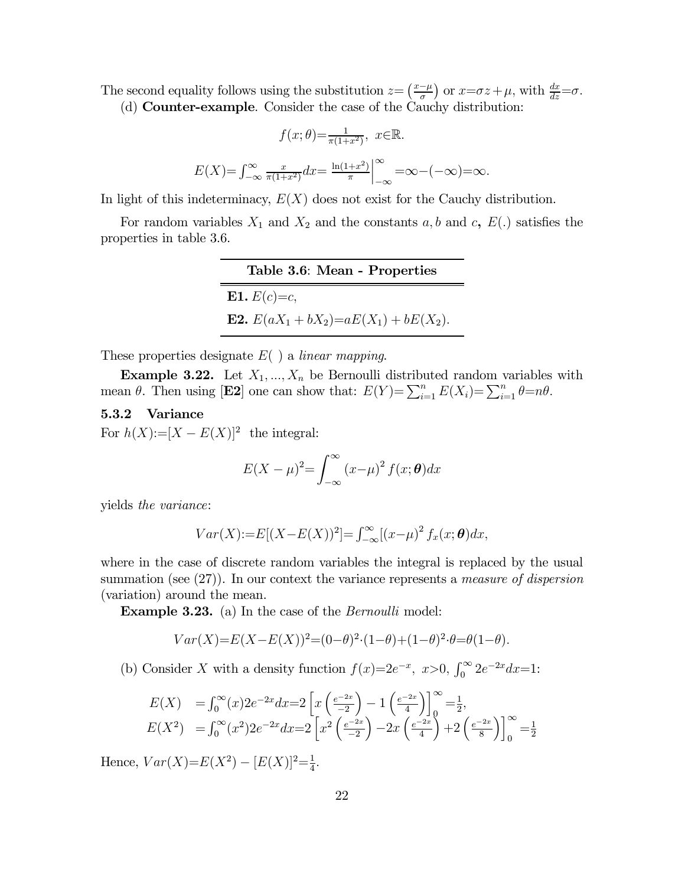The second equality follows using the substitution  $z = \left(\frac{x-\mu}{\sigma}\right)$  or  $x = \sigma z + \mu$ , with  $\frac{dx}{dz} = \sigma$ . (d) Counter-example. Consider the case of the Cauchy distribution:

$$
f(x; \theta) = \frac{1}{\pi(1+x^2)}, \quad x \in \mathbb{R}.
$$

$$
E(X) = \int_{-\infty}^{\infty} \frac{x}{\pi(1+x^2)} dx = \frac{\ln(1+x^2)}{\pi} \Big|_{-\infty}^{\infty} = \infty - (-\infty) = \infty.
$$

In light of this indeterminacy,  $E(X)$  does not exist for the Cauchy distribution.

For random variables  $X_1$  and  $X_2$  and the constants  $a, b$  and  $c, E(.)$  satisfies the properties in table 3.6.

| Table 3.6: Mean - Properties                      |
|---------------------------------------------------|
| <b>E1.</b> $E(c)=c$ ,                             |
| <b>E2.</b> $E(aX_1 + bX_2) = aE(X_1) + bE(X_2)$ . |

These properties designate  $E( )$  a linear mapping.

**Example 3.22.** Let  $X_1, ..., X_n$  be Bernoulli distributed random variables with mean  $\theta$ . Then using [**E2**] one can show that:  $E(Y) = \sum_{i=1}^{n} E(X_i) = \sum_{i=1}^{n} \theta = n\theta$ .

## 5.3.2 Variance

For  $h(X) := [X - E(X)]^2$  the integral:

$$
E(X - \mu)^{2} = \int_{-\infty}^{\infty} (x - \mu)^{2} f(x; \theta) dx
$$

yields the variance:

$$
Var(X) := E[(X - E(X))^2] = \int_{-\infty}^{\infty} [(x - \mu)^2 f_x(x; \theta) dx,
$$

where in the case of discrete random variables the integral is replaced by the usual summation (see  $(27)$ ). In our context the variance represents a *measure of dispersion* (variation) around the mean.

**Example 3.23.** (a) In the case of the *Bernoulli* model:

$$
Var(X) = E(X - E(X))^2 = (0 - \theta)^2 \cdot (1 - \theta) + (1 - \theta)^2 \cdot \theta = \theta(1 - \theta).
$$

(b) Consider X with a density function  $f(x)=2e^{-x}$ ,  $x>0$ ,  $\int_0^\infty 2e^{-2x}dx=1$ :

$$
E(X) = \int_0^\infty (x) 2e^{-2x} dx = 2 \left[ x \left( \frac{e^{-2x}}{-2} \right) - 1 \left( \frac{e^{-2x}}{4} \right) \right]_0^\infty = \frac{1}{2},
$$
  
\n
$$
E(X^2) = \int_0^\infty (x^2) 2e^{-2x} dx = 2 \left[ x^2 \left( \frac{e^{-2x}}{-2} \right) - 2x \left( \frac{e^{-2x}}{4} \right) + 2 \left( \frac{e^{-2x}}{8} \right) \right]_0^\infty = \frac{1}{2}
$$

Hence,  $Var(X)=E(X^2) - [E(X)]^2 = \frac{1}{4}$ .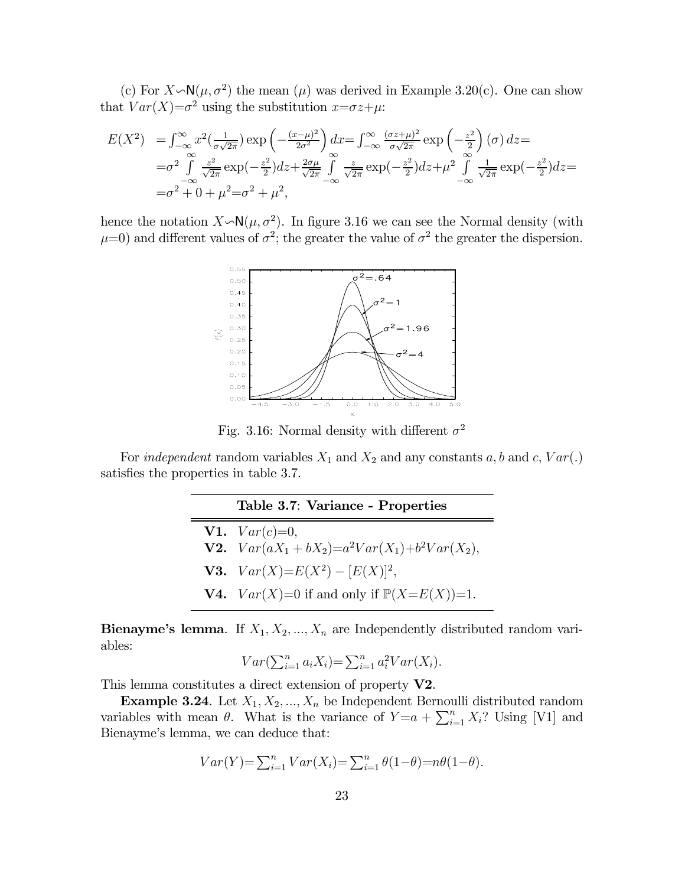(c) For  $X \sim N(\mu, \sigma^2)$  the mean  $(\mu)$  was derived in Example 3.20(c). One can show that  $Var(X)=\sigma^2$  using the substitution  $x=\sigma z+\mu$ .

$$
E(X^2) = \int_{-\infty}^{\infty} x^2 \left(\frac{1}{\sigma\sqrt{2\pi}}\right) \exp\left(-\frac{(x-\mu)^2}{2\sigma^2}\right) dx = \int_{-\infty}^{\infty} \frac{(\sigma z + \mu)^2}{\sigma\sqrt{2\pi}} \exp\left(-\frac{z^2}{2}\right) (\sigma) dz =
$$
  
\n
$$
= \sigma^2 \int_{-\infty}^{\infty} \frac{z^2}{\sqrt{2\pi}} \exp\left(-\frac{z^2}{2}\right) dz + \frac{2\sigma\mu}{\sqrt{2\pi}} \int_{-\infty}^{\infty} \frac{z}{\sqrt{2\pi}} \exp\left(-\frac{z^2}{2}\right) dz + \mu^2 \int_{-\infty}^{\infty} \frac{1}{\sqrt{2\pi}} \exp\left(-\frac{z^2}{2}\right) dz =
$$
  
\n
$$
= \sigma^2 + 0 + \mu^2 = \sigma^2 + \mu^2,
$$

hence the notation  $X \sim N(\mu, \sigma^2)$ . In figure 3.16 we can see the Normal density (with  $\mu=0$ ) and different values of  $\sigma^2$ ; the greater the value of  $\sigma^2$  the greater the dispersion.



Fig. 3.16: Normal density with different  $\sigma^2$ 

For *independent* random variables  $X_1$  and  $X_2$  and any constants  $a, b$  and  $c, Var(.)$ satisfies the properties in table 3.7.

#### Table 3.7: Variance - Properties

| <b>V1.</b> $Var(c)=0$ ,<br><b>V2.</b> $Var(aX_1 + bX_2) = a^2Var(X_1) + b^2Var(X_2),$ |
|---------------------------------------------------------------------------------------|
| <b>V3.</b> $Var(X)=E(X^2)-[E(X)]^2$ ,                                                 |
| <b>V4.</b> $Var(X)=0$ if and only if $\mathbb{P}(X=E(X))=1$ .                         |

Bienayme's lemma. If  $X_1, X_2, ..., X_n$  are Independently distributed random variables:

$$
Var(\sum_{i=1}^{n} a_i X_i) = \sum_{i=1}^{n} a_i^2 Var(X_i).
$$

This lemma constitutes a direct extension of property  $V2$ .

 $\equiv$ 

**Example 3.24**. Let  $X_1, X_2, ..., X_n$  be Independent Bernoulli distributed random variables with mean  $\theta$ . What is the variance of  $Y=a+\sum_{i=1}^n X_i$ ? Using [V1] and Bienayme's lemma, we can deduce that:

$$
Var(Y) = \sum_{i=1}^{n} Var(X_i) = \sum_{i=1}^{n} \theta(1-\theta) = n\theta(1-\theta).
$$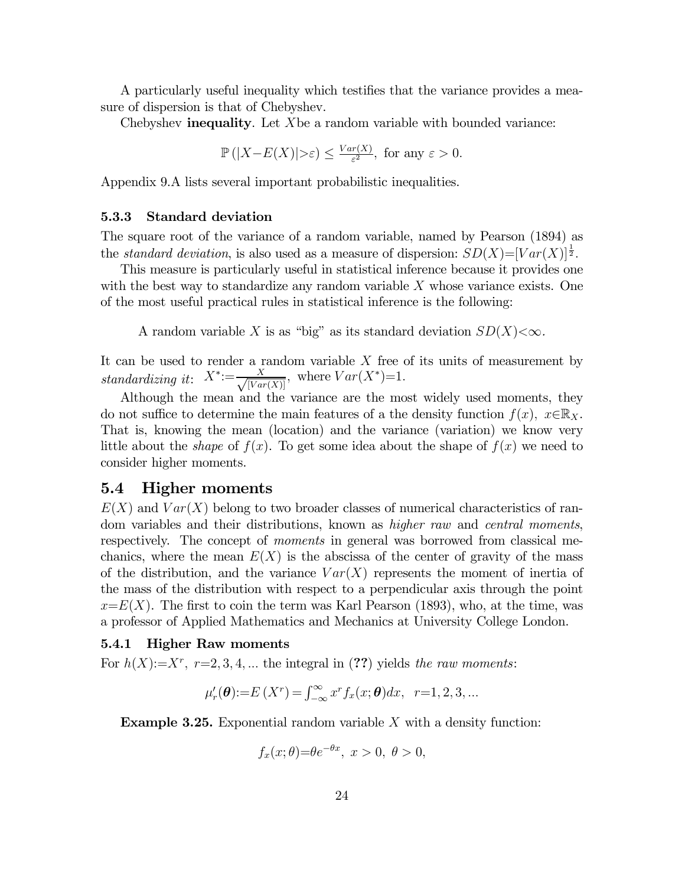A particularly useful inequality which testifies that the variance provides a measure of dispersion is that of Chebyshev.

Chebyshev **inequality**. Let  $X$  be a random variable with bounded variance:

$$
\mathbb{P}(|X - E(X)| > \varepsilon) \le \frac{Var(X)}{\varepsilon^2}, \text{ for any } \varepsilon > 0.
$$

Appendix 9.A lists several important probabilistic inequalities.

#### 5.3.3 Standard deviation

The square root of the variance of a random variable, named by Pearson (1894) as the *standard deviation*, is also used as a measure of dispersion:  $SD(X)=[Var(X)]^{\frac{1}{2}}$ .

This measure is particularly useful in statistical inference because it provides one with the best way to standardize any random variable  $X$  whose variance exists. One of the most useful practical rules in statistical inference is the following:

A random variable X is as "big" as its standard deviation  $SD(X) < \infty$ .

It can be used to render a random variable  $X$  free of its units of measurement by standardizing it:  $X^*:=\frac{X}{\sqrt{[Var(X)]}}$ , where  $Var(X^*)=1$ .

Although the mean and the variance are the most widely used moments, they do not suffice to determine the main features of a the density function  $f(x)$ ,  $x \in \mathbb{R}_X$ . That is, knowing the mean (location) and the variance (variation) we know very little about the *shape* of  $f(x)$ . To get some idea about the shape of  $f(x)$  we need to consider higher moments.

## 5.4 Higher moments

 $E(X)$  and  $Var(X)$  belong to two broader classes of numerical characteristics of random variables and their distributions, known as *higher raw* and *central moments*, respectively. The concept of *moments* in general was borrowed from classical mechanics, where the mean  $E(X)$  is the abscissa of the center of gravity of the mass of the distribution, and the variance  $Var(X)$  represents the moment of inertia of the mass of the distribution with respect to a perpendicular axis through the point  $x=E(X)$ . The first to coin the term was Karl Pearson (1893), who, at the time, was a professor of Applied Mathematics and Mechanics at University College London.

#### 5.4.1 Higher Raw moments

For  $h(X)=X^r$ ,  $r=2,3,4,...$  the integral in (??) yields the raw moments:

$$
\mu'_{r}(\theta) := E(X^{r}) = \int_{-\infty}^{\infty} x^{r} f_{x}(x; \theta) dx, r = 1, 2, 3, ...
$$

**Example 3.25.** Exponential random variable  $X$  with a density function:

$$
f_x(x; \theta) = \theta e^{-\theta x}, \ x > 0, \ \theta > 0,
$$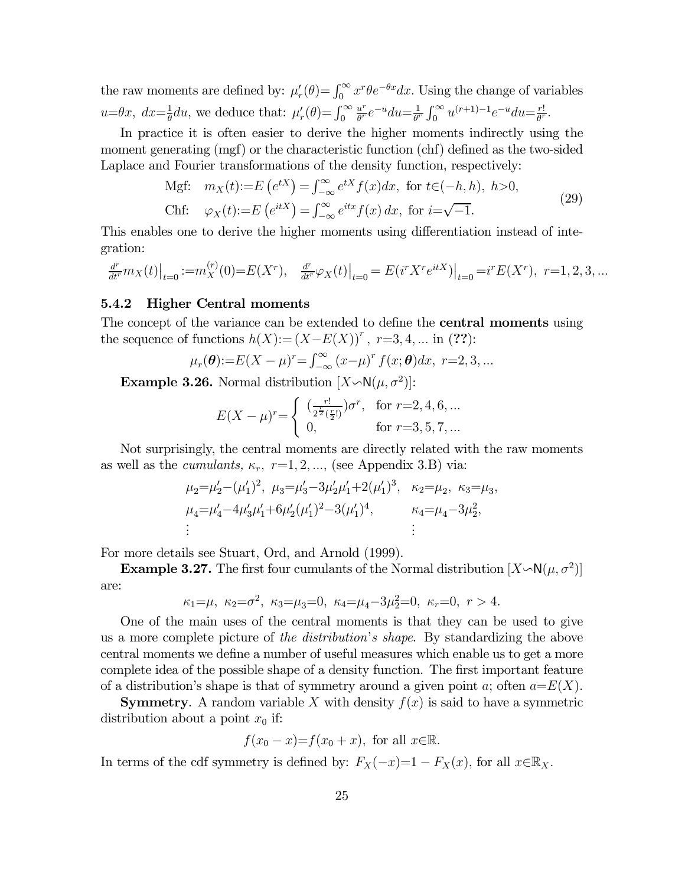the raw moments are defined by:  $\mu'_r(\theta) = \int_0^\infty x^r \theta e^{-\theta x} dx$ . Using the change of variables  $u=\theta x, dx=\frac{1}{\theta}du$ , we deduce that:  $\mu'_r(\theta) = \int_0^\infty$  $rac{u^r}{\theta^r}e^{-u}du = \frac{1}{\theta^r}\int_0^\infty u^{(r+1)-1}e^{-u}du = \frac{r!}{\theta^r}.$ 

In practice it is often easier to derive the higher moments indirectly using the moment generating (mgf) or the characteristic function (chf) defined as the two-sided Laplace and Fourier transformations of the density function, respectively:

Mgf: 
$$
m_X(t) := E(e^{tX}) = \int_{-\infty}^{\infty} e^{tX} f(x) dx
$$
, for  $t \in (-h, h)$ ,  $h > 0$ ,  
Chf:  $\varphi_X(t) := E(e^{itX}) = \int_{-\infty}^{\infty} e^{itx} f(x) dx$ , for  $i = \sqrt{-1}$ . (29)

This enables one to derive the higher moments using differentiation instead of integration:

$$
\frac{d^r}{dt^r} m_X(t) \Big|_{t=0} := m_X^{(r)}(0) = E(X^r), \quad \frac{d^r}{dt^r} \varphi_X(t) \Big|_{t=0} = E(i^r X^r e^{itX}) \Big|_{t=0} = i^r E(X^r), \quad r=1,2,3,...
$$

#### 5.4.2 Higher Central moments

The concept of the variance can be extended to define the **central moments** using the sequence of functions  $h(X) := (X - E(X))^r$ ,  $r=3, 4, ...$  in (??):

$$
\mu_r(\theta) := E(X - \mu)^r = \int_{-\infty}^{\infty} (x - \mu)^r f(x; \theta) dx, r = 2, 3, ...
$$

**Example 3.26.** Normal distribution  $[X \sim N(\mu, \sigma^2)]$ :

$$
E(X - \mu)^r = \begin{cases} \left(\frac{r!}{2^{\frac{r}{2}}(\frac{r}{2})}\right)\sigma^r, & \text{for } r = 2, 4, 6, ...\\ 0, & \text{for } r = 3, 5, 7, ... \end{cases}
$$

Not surprisingly, the central moments are directly related with the raw moments as well as the *cumulants*,  $\kappa_r$ ,  $r=1,2,...$ , (see Appendix 3.B) via:

$$
\mu_2 = \mu'_2 - (\mu'_1)^2
$$
,  $\mu_3 = \mu'_3 - 3\mu'_2\mu'_1 + 2(\mu'_1)^3$ ,  $\kappa_2 = \mu_2$ ,  $\kappa_3 = \mu_3$ ,  
\n $\mu_4 = \mu'_4 - 4\mu'_3\mu'_1 + 6\mu'_2(\mu'_1)^2 - 3(\mu'_1)^4$ ,  $\kappa_4 = \mu_4 - 3\mu_2^2$ ,  
\n $\vdots$ 

For more details see Stuart, Ord, and Arnold (1999).

**Example 3.27.** The first four cumulants of the Normal distribution  $[X \backsim N(\mu, \sigma^2)]$ are:

$$
\kappa_1 = \mu, \ \kappa_2 = \sigma^2, \ \kappa_3 = \mu_3 = 0, \ \kappa_4 = \mu_4 - 3\mu_2^2 = 0, \ \kappa_r = 0, \ r > 4.
$$

One of the main uses of the central moments is that they can be used to give us a more complete picture of the distribution's shape. By standardizing the above central moments we define a number of useful measures which enable us to get a more complete idea of the possible shape of a density function. The first important feature of a distribution's shape is that of symmetry around a given point a; often  $a = E(X)$ .

**Symmetry.** A random variable X with density  $f(x)$  is said to have a symmetric distribution about a point  $x_0$  if:

$$
f(x_0 - x) = f(x_0 + x)
$$
, for all  $x \in \mathbb{R}$ .

In terms of the cdf symmetry is defined by:  $F_X(-x)=1 - F_X(x)$ , for all  $x \in \mathbb{R}_X$ .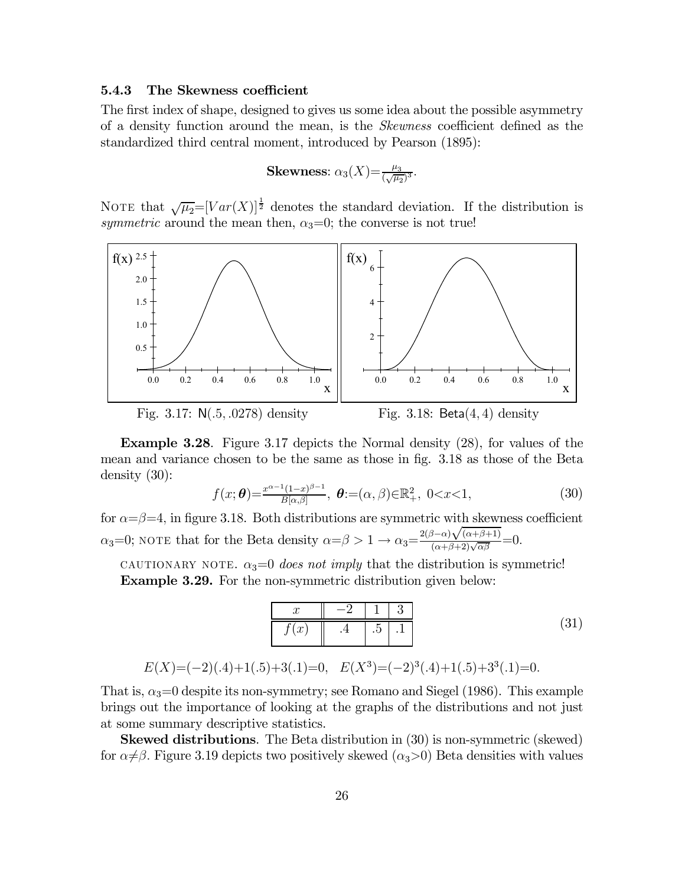#### 5.4.3 The Skewness coefficient

The first index of shape, designed to gives us some idea about the possible asymmetry of a density function around the mean, is the Skewness coefficient defined as the standardized third central moment, introduced by Pearson (1895):

Skewness: 
$$
\alpha_3(X) = \frac{\mu_3}{(\sqrt{\mu_2})^3}
$$
.

NOTE that  $\sqrt{\mu_2}=[Var(X)]^{\frac{1}{2}}$  denotes the standard deviation. If the distribution is symmetric around the mean then,  $\alpha_3=0$ ; the converse is not true!



Example 3.28. Figure 3.17 depicts the Normal density (28), for values of the mean and variance chosen to be the same as those in fig. 3.18 as those of the Beta density (30):

$$
f(x; \theta) = \frac{x^{\alpha - 1}(1 - x)^{\beta - 1}}{B[\alpha, \beta]}, \ \theta := (\alpha, \beta) \in \mathbb{R}^2_+, \ 0 < x < 1,
$$
 (30)

for  $\alpha = \beta = 4$ , in figure 3.18. Both distributions are symmetric with skewness coefficient  $\alpha_3=0$ ; NOTE that for the Beta density  $\alpha = \beta > 1 \rightarrow \alpha_3 = \frac{2(\beta-\alpha)\sqrt{(\alpha+\beta+1)}}{(\alpha+\beta+2)\sqrt{\alpha\beta}}$  $\frac{\partial^2 \alpha}{(\alpha+\beta+2)\sqrt{\alpha\beta}}=0.$ 

CAUTIONARY NOTE.  $\alpha_3=0$  does not imply that the distribution is symmetric! Example 3.29. For the non-symmetric distribution given below:

$$
\begin{array}{c|c|c|c|c|c|c|c} x & -2 & 1 & 3 \\ \hline f(x) & .4 & .5 & .1 \end{array} \tag{31}
$$

$$
E(X)=(-2)(.4)+1(.5)+3(.1)=0
$$
,  $E(X^3)=(-2)^3(.4)+1(.5)+3^3(.1)=0$ .

That is,  $\alpha_3=0$  despite its non-symmetry; see Romano and Siegel (1986). This example brings out the importance of looking at the graphs of the distributions and not just at some summary descriptive statistics.

Skewed distributions. The Beta distribution in (30) is non-symmetric (skewed) for  $\alpha \neq \beta$ . Figure 3.19 depicts two positively skewed  $(\alpha_3>0)$  Beta densities with values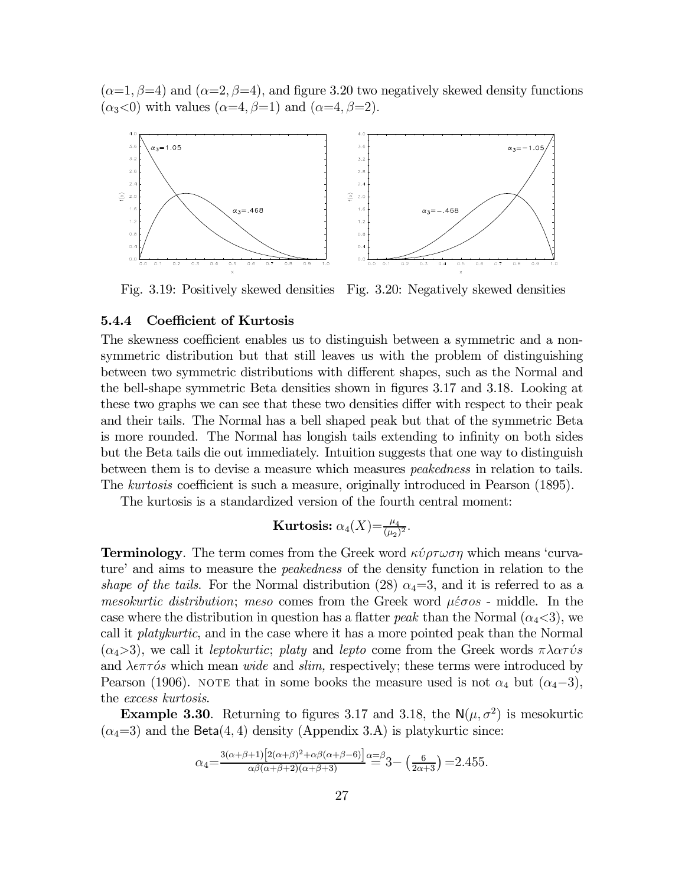$(\alpha=1, \beta=4)$  and  $(\alpha=2, \beta=4)$ , and figure 3.20 two negatively skewed density functions  $(\alpha_3<0)$  with values  $(\alpha=4, \beta=1)$  and  $(\alpha=4, \beta=2)$ .



Fig. 3.19: Positively skewed densities Fig. 3.20: Negatively skewed densities

## 5.4.4 Coefficient of Kurtosis

The skewness coefficient enables us to distinguish between a symmetric and a nonsymmetric distribution but that still leaves us with the problem of distinguishing between two symmetric distributions with different shapes, such as the Normal and the bell-shape symmetric Beta densities shown in figures 3.17 and 3.18. Looking at these two graphs we can see that these two densities differ with respect to their peak and their tails. The Normal has a bell shaped peak but that of the symmetric Beta is more rounded. The Normal has longish tails extending to infinity on both sides but the Beta tails die out immediately. Intuition suggests that one way to distinguish between them is to devise a measure which measures peakedness in relation to tails. The *kurtosis* coefficient is such a measure, originally introduced in Pearson (1895).

The kurtosis is a standardized version of the fourth central moment:

Kurtosis: 
$$
\alpha_4(X) = \frac{\mu_4}{(\mu_2)^2}
$$
.

**Terminology.** The term comes from the Greek word  $\kappa \psi \rho \tau \omega \sigma \eta$  which means 'curvature' and aims to measure the peakedness of the density function in relation to the shape of the tails. For the Normal distribution (28)  $\alpha_4=3$ , and it is referred to as a *mesokurtic distribution; meso* comes from the Greek word  $\mu \epsilon \sigma$  - middle. In the case where the distribution in question has a flatter *peak* than the Normal  $(\alpha_4<3)$ , we call it platykurtic, and in the case where it has a more pointed peak than the Normal  $(\alpha_4>3)$ , we call it leptokurtic; platy and lepto come from the Greek words  $\pi\lambda\alpha\tau\acute{\nu}s$ and  $\lambda \epsilon \pi \tau \delta s$  which mean *wide* and *slim*, respectively; these terms were introduced by Pearson (1906). NOTE that in some books the measure used is not  $\alpha_4$  but  $(\alpha_4-3)$ , the excess kurtosis.

**Example 3.30.** Returning to figures 3.17 and 3.18, the  $N(\mu, \sigma^2)$  is mesokurtic  $(\alpha_4=3)$  and the Beta(4,4) density (Appendix 3.A) is platykurtic since:

$$
\alpha_4 = \frac{3(\alpha+\beta+1)\left[2(\alpha+\beta)^2 + \alpha\beta(\alpha+\beta-6)\right]}{\alpha\beta(\alpha+\beta+2)(\alpha+\beta+3)} \approx 3 - \left(\frac{6}{2\alpha+3}\right) = 2.455.
$$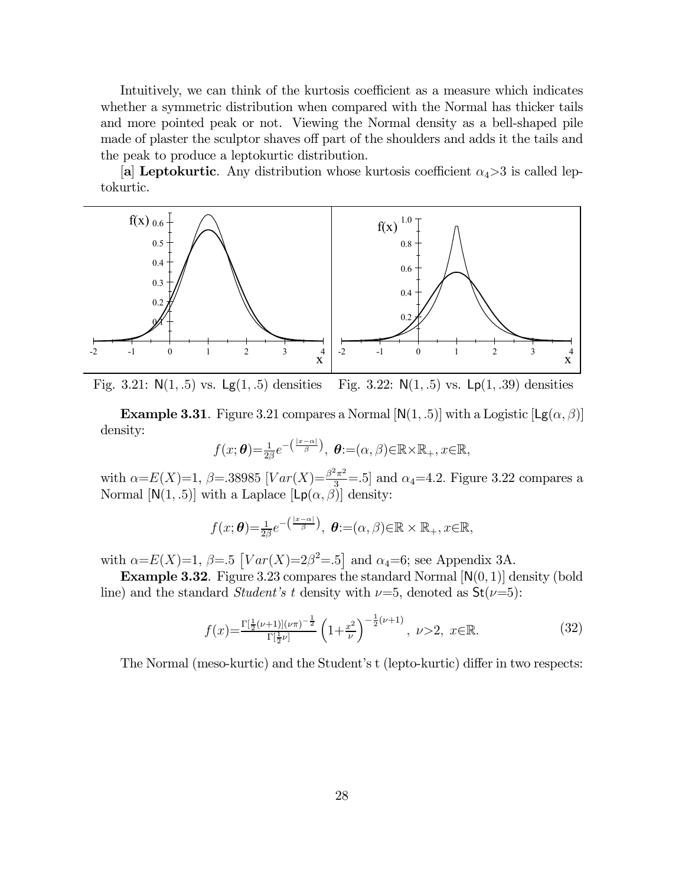Intuitively, we can think of the kurtosis coefficient as a measure which indicates whether a symmetric distribution when compared with the Normal has thicker tails and more pointed peak or not. Viewing the Normal density as a bell-shaped pile made of plaster the sculptor shaves off part of the shoulders and adds it the tails and the peak to produce a leptokurtic distribution.

[a] Leptokurtic. Any distribution whose kurtosis coefficient  $\alpha_4 > 3$  is called leptokurtic.



Fig. 3.21:  $N(1, .5)$  vs.  $Lg(1, .5)$  densities Fig. 3.22:  $N(1, .5)$  vs.  $Lp(1, .39)$  densities

**Example 3.31**. Figure 3.21 compares a Normal  $[N(1, .5)]$  with a Logistic  $[Lg(\alpha, \beta)]$ density:

$$
f(x; \theta) = \frac{1}{2\beta} e^{-\left(\frac{|x-\alpha|}{\beta}\right)}, \ \theta := (\alpha, \beta) \in \mathbb{R} \times \mathbb{R}_+, x \in \mathbb{R},
$$

with  $\alpha = E(X)=1$ ,  $\beta = 38985$   $[Var(X) = \frac{\beta^2 \pi^2}{3}] = .5$  and  $\alpha_4 = 4.2$ . Figure 3.22 compares a Normal  $[N(1, .5)]$  with a Laplace  $[Lp(\alpha, \beta)]$  density:

$$
f(x; \theta) = \frac{1}{2\beta} e^{-\left(\frac{|x-\alpha|}{\beta}\right)}, \theta := (\alpha, \beta) \in \mathbb{R} \times \mathbb{R}_+, x \in \mathbb{R},
$$

with  $\alpha = E(X)=1, \ \beta = .5$   $[Var(X)=2\beta^2=.5]$  and  $\alpha_4=6$ ; see Appendix 3A.

**Example 3.32.** Figure 3.23 compares the standard Normal  $[N(0, 1)]$  density (bold line) and the standard *Student's t* density with  $\nu=5$ , denoted as  $St(\nu=5)$ :

$$
f(x) = \frac{\Gamma[\frac{1}{2}(\nu+1)](\nu\pi)^{-\frac{1}{2}}}{\Gamma[\frac{1}{2}\nu]} \left(1 + \frac{x^2}{\nu}\right)^{-\frac{1}{2}(\nu+1)}, \quad \nu > 2, \quad x \in \mathbb{R}.\tag{32}
$$

The Normal (meso-kurtic) and the Student's t (lepto-kurtic) differ in two respects: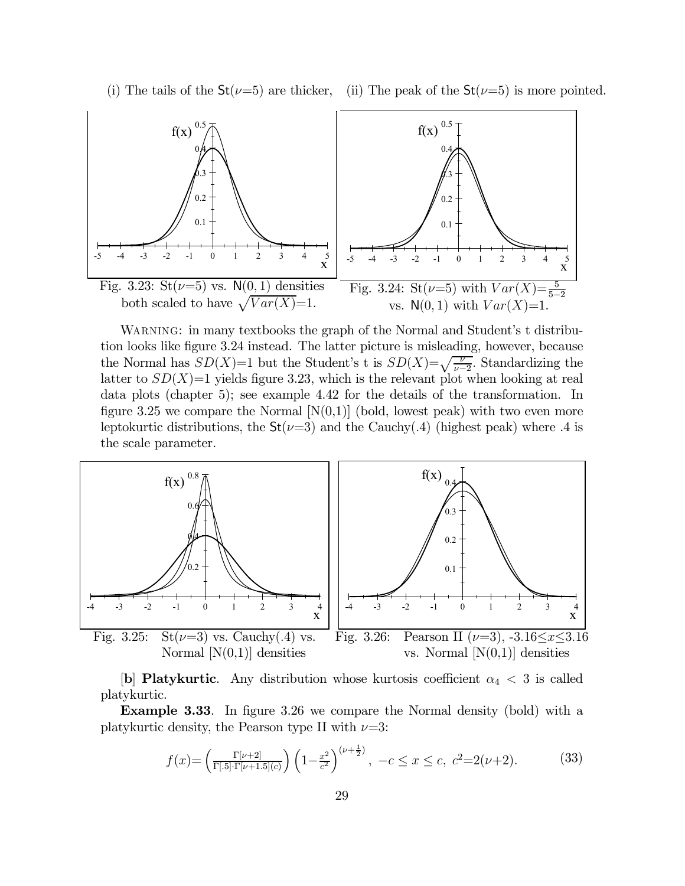



WARNING: in many textbooks the graph of the Normal and Student's t distribution looks like figure 3.24 instead. The latter picture is misleading, however, because the Normal has  $SD(X)=1$  but the Student's t is  $SD(X)=\sqrt{\frac{\nu}{\nu-2}}$ . Standardizing the latter to  $SD(X)=1$  yields figure 3.23, which is the relevant plot when looking at real data plots (chapter 5); see example 4.42 for the details of the transformation. In figure 3.25 we compare the Normal  $[N(0,1)]$  (bold, lowest peak) with two even more leptokurtic distributions, the  $St(\nu=3)$  and the Cauchy(.4) (highest peak) where .4 is the scale parameter.



[b] Platykurtic. Any distribution whose kurtosis coefficient  $\alpha_4 < 3$  is called platykurtic.

Example 3.33. In figure 3.26 we compare the Normal density (bold) with a platykurtic density, the Pearson type II with  $\nu=3$ :

$$
f(x) = \left(\frac{\Gamma[\nu+2]}{\Gamma[.5]\cdot\Gamma[\nu+1.5](c)}\right) \left(1 - \frac{x^2}{c^2}\right)^{(\nu+\frac{1}{2})}, \ -c \le x \le c, \ c^2 = 2(\nu+2). \tag{33}
$$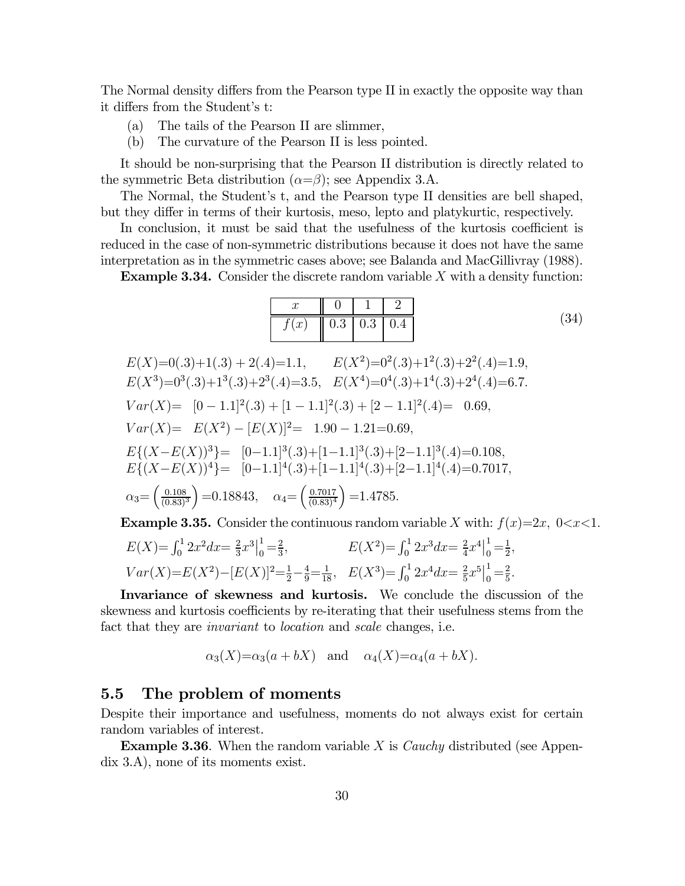The Normal density differs from the Pearson type II in exactly the opposite way than it differs from the Student's t:

- (a) The tails of the Pearson II are slimmer,
- (b) The curvature of the Pearson II is less pointed.

It should be non-surprising that the Pearson II distribution is directly related to the symmetric Beta distribution  $(\alpha = \beta)$ ; see Appendix 3.A.

The Normal, the Student's t, and the Pearson type II densities are bell shaped, but they differ in terms of their kurtosis, meso, lepto and platykurtic, respectively.

In conclusion, it must be said that the usefulness of the kurtosis coefficient is reduced in the case of non-symmetric distributions because it does not have the same interpretation as in the symmetric cases above; see Balanda and MacGillivray (1988).

**Example 3.34.** Consider the discrete random variable  $X$  with a density function:

| $f(x)$   0.3   0.3   0.4 |  |  |
|--------------------------|--|--|

 $E(X)=0(.3)+1(.3) + 2(.4)=1.1$ ,  $E(X^2)=0^2(.3)+1^2(.3)+2^2(.4)=1.9$ .  $E(X^3)=0^3(.3)+1^3(.3)+2^3(.4)=3.5$ ,  $E(X^4)=0^4(.3)+1^4(.3)+2^4(.4)=6.7$ .  $Var(X) = [0 - 1.1]^2(.3) + [1 - 1.1]^2(.3) + [2 - 1.1]^2(.4) = 0.69,$  $Var(X) = E(X^2) - [E(X)]^2 = 1.90 - 1.21 = 0.69,$  $E\{(X-E(X))^3\} = [0-1.1]^3(.3) + [1-1.1]^3(.3) + [2-1.1]^3(.4) = 0.108,$  $E\{(X-E(X))^4\}$ = [0-1.1]<sup>4</sup>(.3)+[1-1.1]<sup>4</sup>(.3)+[2-1.1]<sup>4</sup>(.4)=0.7017,  $\alpha_3 = \left(\frac{0.108}{(0.83)}\right)$  $(0.83)^3$  $\big) = 0.18843, \quad \alpha_4 = \left(\frac{0.7017}{(0.83)^4}\right)$  $(0.83)^4$  $=1.4785.$ 

**Example 3.35.** Consider the continuous random variable X with:  $f(x)=2x, 0\lt x\lt 1$ .

$$
E(X) = \int_0^1 2x^2 dx = \frac{2}{3}x^3 \Big|_0^1 = \frac{2}{3},
$$
  
\n
$$
E(X^2) = \int_0^1 2x^3 dx = \frac{2}{4}x^4 \Big|_0^1 = \frac{1}{2},
$$
  
\n
$$
Var(X) = E(X^2) - [E(X)]^2 = \frac{1}{2} - \frac{4}{9} = \frac{1}{18},
$$
  
\n
$$
E(X^3) = \int_0^1 2x^4 dx = \frac{2}{5}x^5 \Big|_0^1 = \frac{2}{5}.
$$

Invariance of skewness and kurtosis. We conclude the discussion of the skewness and kurtosis coefficients by re-iterating that their usefulness stems from the fact that they are *invariant* to *location* and *scale* changes, i.e.

$$
\alpha_3(X)=\alpha_3(a+bX)
$$
 and  $\alpha_4(X)=\alpha_4(a+bX)$ .

## 5.5 The problem of moments

Despite their importance and usefulness, moments do not always exist for certain random variables of interest.

**Example 3.36.** When the random variable  $X$  is *Cauchy* distributed (see Appendix 3.A), none of its moments exist.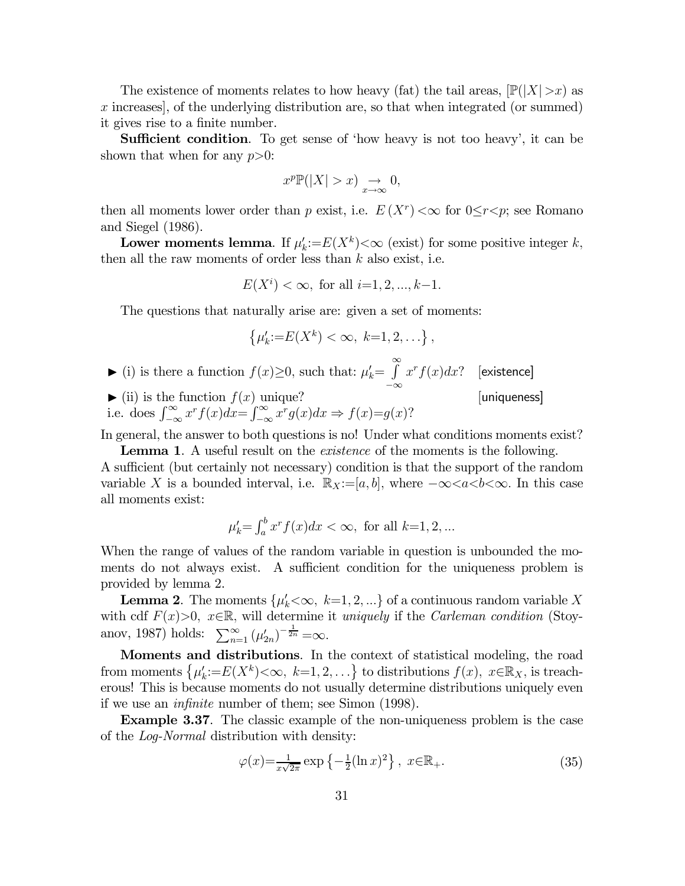The existence of moments relates to how heavy (fat) the tail areas,  $\mathbb{P}(|X|>x)$  as  $x$  increases], of the underlying distribution are, so that when integrated (or summed) it gives rise to a finite number.

Sufficient condition. To get sense of 'how heavy is not too heavy', it can be shown that when for any  $p>0$ :

$$
x^p \mathbb{P}(|X| > x) \underset{x \to \infty}{\to} 0,
$$

then all moments lower order than p exist, i.e.  $E(X^r) < \infty$  for  $0 \leq r < p$ ; see Romano and Siegel (1986).

Lower moments lemma. If  $\mu'_k := E(X^k) < \infty$  (exist) for some positive integer k, then all the raw moments of order less than  $k$  also exist, i.e.

$$
E(X^i) < \infty
$$
, for all  $i=1, 2, ..., k-1$ .

The questions that naturally arise are: given a set of moments:

$$
\{\mu'_k:=E(X^k)<\infty, k=1,2,\ldots\},\,
$$

- ► (i) is there a function  $f(x) \geq 0$ , such that:  $\mu'_k = \int_{0}^{\infty}$ −∞  $x^r f(x) dx$ ? [existence]
- $\blacktriangleright$  (ii) is the function  $f(x)$  unique? [uniqueness] i.e. does  $\int_{-\infty}^{\infty} x^r f(x) dx = \int_{-\infty}^{\infty} x^r g(x) dx \Rightarrow f(x)=g(x)$ ?

In general, the answer to both questions is no! Under what conditions moments exist?

Lemma 1. A useful result on the *existence* of the moments is the following. A sufficient (but certainly not necessary) condition is that the support of the random variable X is a bounded interval, i.e.  $\mathbb{R}_X := [a, b]$ , where  $-\infty < a < b < \infty$ . In this case all moments exist:

$$
\mu'_k = \int_a^b x^r f(x) dx < \infty
$$
, for all  $k=1, 2, ...$ 

When the range of values of the random variable in question is unbounded the moments do not always exist. A sufficient condition for the uniqueness problem is provided by lemma 2.

**Lemma 2.** The moments  $\{\mu_k' < \infty, k=1, 2, ...\}$  of a continuous random variable X with cdf  $F(x)>0$ ,  $x\in\mathbb{R}$ , will determine it uniquely if the Carleman condition (Stoyanov, 1987) holds:  $\sum_{n=1}^{\infty} (\mu'_{2n})^{-\frac{1}{2n}} = \infty$ .

Moments and distributions. In the context of statistical modeling, the road from moments  $\{\mu_k:=E(X^k)<\infty,\ k=1,2,\ldots\}$  to distributions  $f(x), x\in\mathbb{R}_X$ , is treacherous! This is because moments do not usually determine distributions uniquely even if we use an infinite number of them; see Simon (1998).

Example 3.37. The classic example of the non-uniqueness problem is the case of the Log-Normal distribution with density:

$$
\varphi(x) = \frac{1}{x\sqrt{2\pi}} \exp\left\{-\frac{1}{2}(\ln x)^2\right\}, \ x \in \mathbb{R}_+.
$$
\n(35)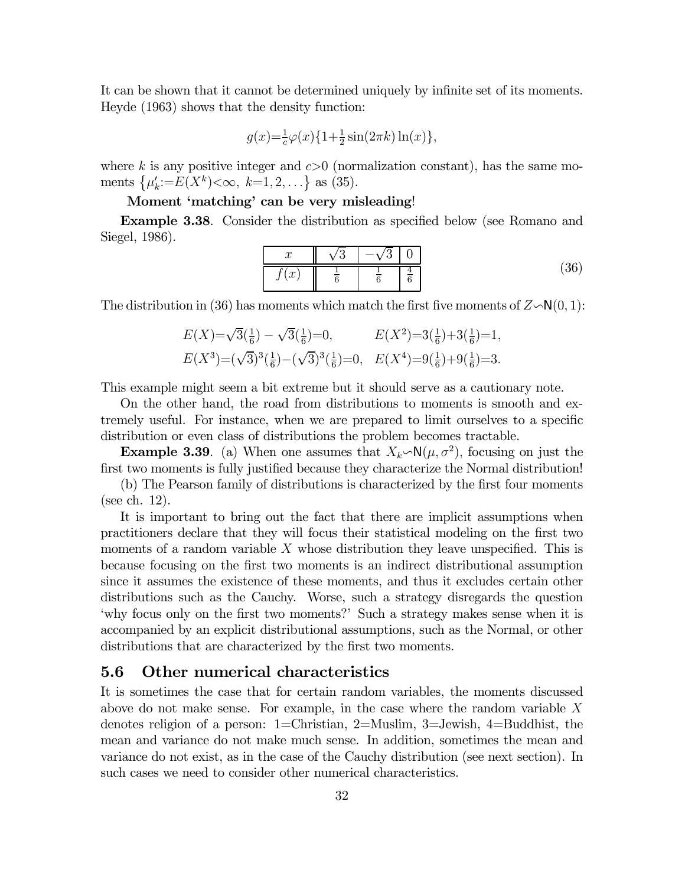It can be shown that it cannot be determined uniquely by infinite set of its moments. Heyde (1963) shows that the density function:

$$
g(x) = \frac{1}{c}\varphi(x)\{1 + \frac{1}{2}\sin(2\pi k)\ln(x)\},\,
$$

where k is any positive integer and  $c>0$  (normalization constant), has the same moments  $\{\mu'_k:=E(X^k)<\infty, k=1,2,\ldots\}$  as (35).

# Moment 'matching' can be very misleading!

Example 3.38. Consider the distribution as specified below (see Romano and Siegel, 1986).

$$
\begin{array}{c|c|c|c|c}\nx & \sqrt{3} & -\sqrt{3} & 0 \\
\hline\nf(x) & \frac{1}{6} & \frac{1}{6} & \frac{4}{6} \\
\end{array}
$$
\n(36)

The distribution in (36) has moments which match the first five moments of  $Z \sim N(0, 1)$ :

$$
E(X) = \sqrt{3}(\frac{1}{6}) - \sqrt{3}(\frac{1}{6}) = 0, \qquad E(X^2) = 3(\frac{1}{6}) + 3(\frac{1}{6}) = 1,
$$
  

$$
E(X^3) = (\sqrt{3})^3(\frac{1}{6}) - (\sqrt{3})^3(\frac{1}{6}) = 0, \quad E(X^4) = 9(\frac{1}{6}) + 9(\frac{1}{6}) = 3.
$$

This example might seem a bit extreme but it should serve as a cautionary note.

On the other hand, the road from distributions to moments is smooth and extremely useful. For instance, when we are prepared to limit ourselves to a specific distribution or even class of distributions the problem becomes tractable.

**Example 3.39.** (a) When one assumes that  $X_k \sim N(\mu, \sigma^2)$ , focusing on just the first two moments is fully justified because they characterize the Normal distribution!

(b) The Pearson family of distributions is characterized by the first four moments (see ch. 12).

It is important to bring out the fact that there are implicit assumptions when practitioners declare that they will focus their statistical modeling on the first two moments of a random variable  $X$  whose distribution they leave unspecified. This is because focusing on the first two moments is an indirect distributional assumption since it assumes the existence of these moments, and thus it excludes certain other distributions such as the Cauchy. Worse, such a strategy disregards the question 'why focus only on the first two moments?' Such a strategy makes sense when it is accompanied by an explicit distributional assumptions, such as the Normal, or other distributions that are characterized by the first two moments.

# 5.6 Other numerical characteristics

It is sometimes the case that for certain random variables, the moments discussed above do not make sense. For example, in the case where the random variable  $X$ denotes religion of a person: 1=Christian, 2=Muslim, 3=Jewish, 4=Buddhist, the mean and variance do not make much sense. In addition, sometimes the mean and variance do not exist, as in the case of the Cauchy distribution (see next section). In such cases we need to consider other numerical characteristics.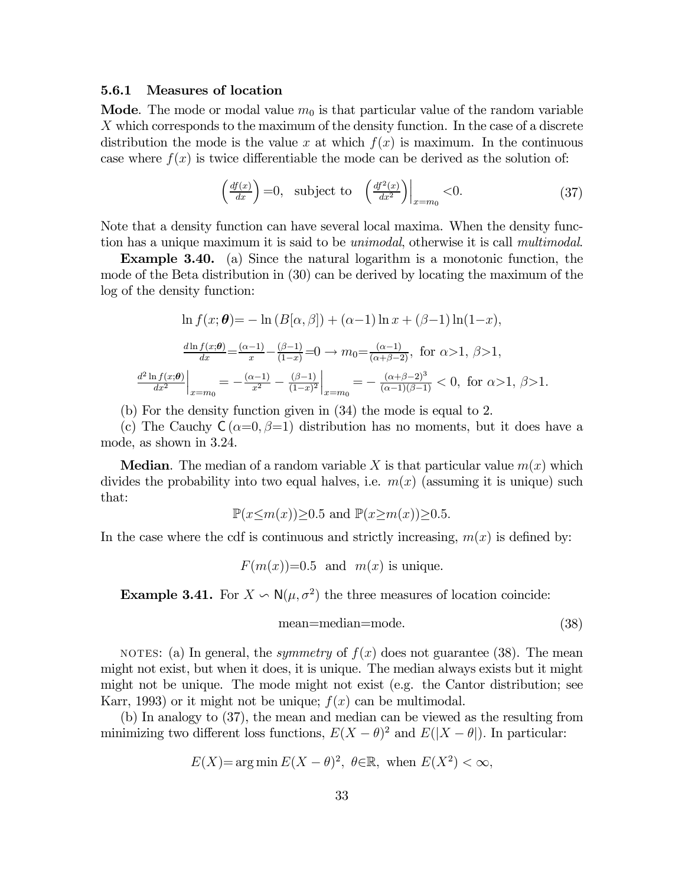#### 5.6.1 Measures of location

**Mode**. The mode or modal value  $m_0$  is that particular value of the random variable X which corresponds to the maximum of the density function. In the case of a discrete distribution the mode is the value x at which  $f(x)$  is maximum. In the continuous case where  $f(x)$  is twice differentiable the mode can be derived as the solution of:

$$
\left(\frac{df(x)}{dx}\right) = 0, \text{ subject to } \left(\frac{df^2(x)}{dx^2}\right)\Big|_{x=m_0} < 0. \tag{37}
$$

Note that a density function can have several local maxima. When the density function has a unique maximum it is said to be unimodal, otherwise it is call multimodal.

Example 3.40. (a) Since the natural logarithm is a monotonic function, the mode of the Beta distribution in (30) can be derived by locating the maximum of the log of the density function:

$$
\ln f(x; \theta) = -\ln (B[\alpha, \beta]) + (\alpha - 1)\ln x + (\beta - 1)\ln(1 - x),
$$
  

$$
\frac{d\ln f(x; \theta)}{dx} = \frac{(\alpha - 1)}{x} - \frac{(\beta - 1)}{(1 - x)} = 0 \to m_0 = \frac{(\alpha - 1)}{(\alpha + \beta - 2)}, \text{ for } \alpha > 1, \beta > 1,
$$
  

$$
\frac{d^2\ln f(x; \theta)}{dx^2}\Big|_{x = m_0} = -\frac{(\alpha - 1)}{x^2} - \frac{(\beta - 1)}{(1 - x)^2}\Big|_{x = m_0} = -\frac{(\alpha + \beta - 2)^3}{(\alpha - 1)(\beta - 1)} < 0, \text{ for } \alpha > 1, \beta > 1.
$$

(b) For the density function given in (34) the mode is equal to 2.

(c) The Cauchy  $C(\alpha=0, \beta=1)$  distribution has no moments, but it does have a mode, as shown in 3.24.

**Median**. The median of a random variable X is that particular value  $m(x)$  which divides the probability into two equal halves, i.e.  $m(x)$  (assuming it is unique) such that:

$$
\mathbb{P}(x \leq m(x)) \geq 0.5 \text{ and } \mathbb{P}(x \geq m(x)) \geq 0.5.
$$

In the case where the cdf is continuous and strictly increasing,  $m(x)$  is defined by:

$$
F(m(x))=0.5
$$
 and  $m(x)$  is unique.

**Example 3.41.** For  $X \nightharpoonup N(\mu, \sigma^2)$  the three measures of location coincide:

$$
mean = median = mode.
$$
 (38)

NOTES: (a) In general, the *symmetry* of  $f(x)$  does not guarantee (38). The mean might not exist, but when it does, it is unique. The median always exists but it might might not be unique. The mode might not exist (e.g. the Cantor distribution; see Karr, 1993) or it might not be unique;  $f(x)$  can be multimodal.

(b) In analogy to (37), the mean and median can be viewed as the resulting from minimizing two different loss functions,  $E(X - \theta)^2$  and  $E(|X - \theta|)$ . In particular:

$$
E(X) = \arg\min E(X - \theta)^2, \ \theta \in \mathbb{R}, \text{ when } E(X^2) < \infty,
$$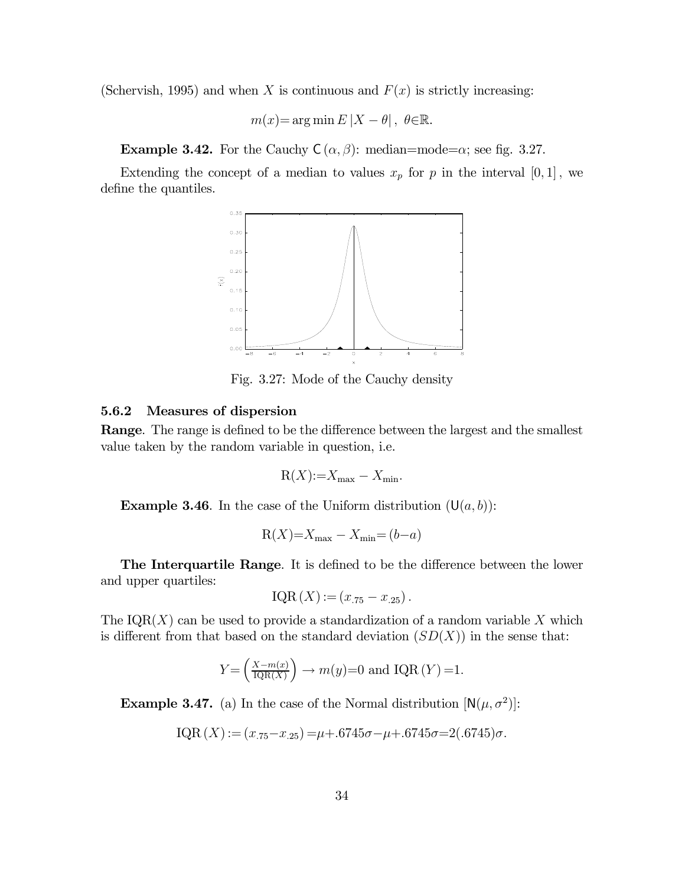(Schervish, 1995) and when X is continuous and  $F(x)$  is strictly increasing:

 $m(x) = \arg \min E |X - \theta|, \ \theta \in \mathbb{R}.$ 

**Example 3.42.** For the Cauchy  $C(\alpha, \beta)$ : median=mode= $\alpha$ ; see fig. 3.27.

Extending the concept of a median to values  $x_p$  for p in the interval  $[0,1]$ , we define the quantiles.



Fig. 3.27: Mode of the Cauchy density

#### 5.6.2 Measures of dispersion

Range. The range is defined to be the difference between the largest and the smallest value taken by the random variable in question, i.e.

$$
R(X)=X_{\max}-X_{\min}.
$$

**Example 3.46**. In the case of the Uniform distribution  $(U(a, b))$ :

$$
R(X)=X_{\max}-X_{\min}=(b-a)
$$

The Interquartile Range. It is defined to be the difference between the lower and upper quartiles:

$$
IQR(X) := (x_{.75} - x_{.25}).
$$

The  $IQR(X)$  can be used to provide a standardization of a random variable X which is different from that based on the standard deviation  $(SD(X))$  in the sense that:

$$
Y = \left(\frac{X - m(x)}{\text{IQR}(X)}\right) \to m(y) = 0 \text{ and IQR}(Y) = 1.
$$

**Example 3.47.** (a) In the case of the Normal distribution  $[N(\mu, \sigma^2)]$ :

$$
IQR(X) := (x_{.75} - x_{.25}) = \mu + .6745\sigma - \mu + .6745\sigma = 2(.6745)\sigma.
$$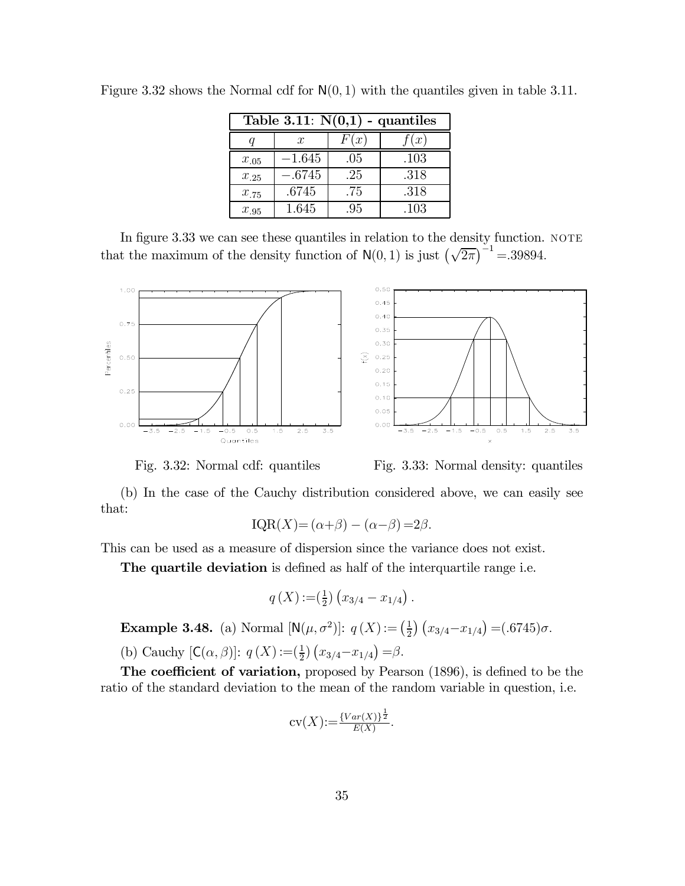| Table 3.11: $N(0,1)$ - quantiles |                  |      |      |  |
|----------------------------------|------------------|------|------|--|
|                                  | $\boldsymbol{x}$ | F(x) | f(x) |  |
| $x_{.05}$                        | $-1.645$         | .05  | .103 |  |
| $x_{.25}$                        | $-.6745$         | .25  | .318 |  |
| $x_{.75}$                        | .6745            | .75  | .318 |  |
| $x_{.95}$                        | 1.645            | .95  | .103 |  |

Figure 3.32 shows the Normal cdf for  $N(0, 1)$  with the quantiles given in table 3.11.

In figure 3.33 we can see these quantiles in relation to the density function. NOTE that the maximum of the density function of  $N(0, 1)$  is just  $(\sqrt{2\pi})^{-1} = 39894$ .



 $0.45$  $0.40$  $0.35$  $0.30$  $0.25$  $0.20$  $0.15$  $0.10$  $0.05$  $0.00$  $-3.5$  $-2.5$  $-1.5$  $-0.5$  $0.5$  $1.5$  $2.5$  $3.5$ 

Fig. 3.32: Normal cdf: quantiles Fig. 3.33: Normal density: quantiles

(b) In the case of the Cauchy distribution considered above, we can easily see that:

$$
IQR(X) = (\alpha + \beta) - (\alpha - \beta) = 2\beta.
$$

This can be used as a measure of dispersion since the variance does not exist.

The quartile deviation is defined as half of the interquartile range i.e.

$$
q(X) := (\frac{1}{2}) (x_{3/4} - x_{1/4}).
$$

Example 3.48. (a) Normal  $[N(\mu, \sigma^2)]$ :  $q(X) := (\frac{1}{2}) (x_{3/4} - x_{1/4}) = (.6745)\sigma$ .

(b) Cauchy  $[C(\alpha, \beta)]$ :  $q(X) :=(\frac{1}{2}) (x_{3/4} - x_{1/4}) = \beta$ .

The coefficient of variation, proposed by Pearson (1896), is defined to be the ratio of the standard deviation to the mean of the random variable in question, i.e.

$$
cv(X) := \frac{\{Var(X)\}^{\frac{1}{2}}}{E(X)}.
$$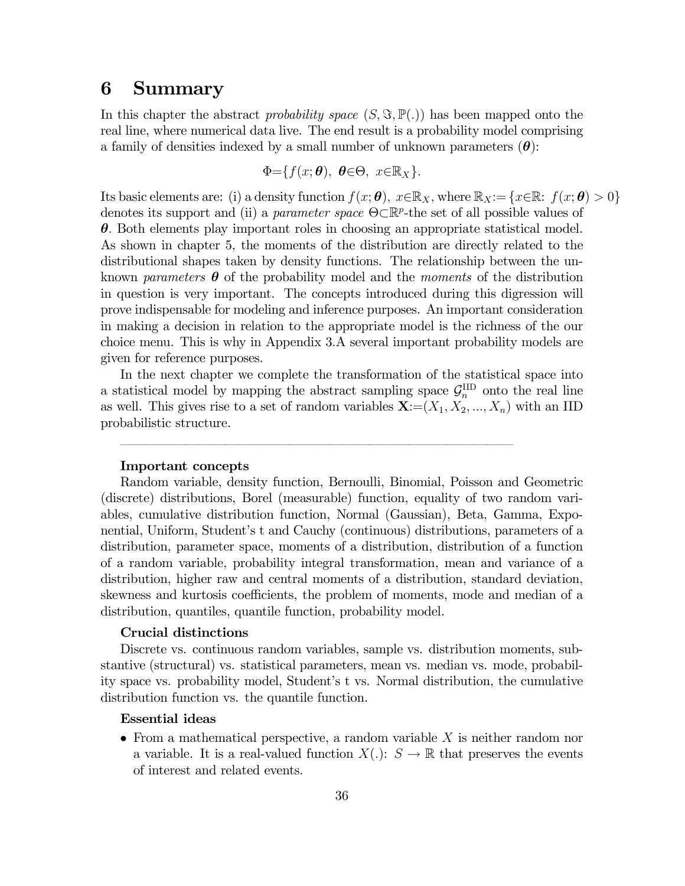# 6 Summary

In this chapter the abstract probability space  $(S, \Im, \mathbb{P}(.))$  has been mapped onto the real line, where numerical data live. The end result is a probability model comprising a family of densities indexed by a small number of unknown parameters  $(\theta)$ :

$$
\Phi = \{f(x; \theta), \ \theta \in \Theta, \ x \in \mathbb{R}_X\}.
$$

Its basic elements are: (i) a density function  $f(x; \theta)$ ,  $x \in \mathbb{R}_X$ , where  $\mathbb{R}_X := \{x \in \mathbb{R}: f(x; \theta) > 0\}$ denotes its support and (ii) a *parameter space*  $\Theta \subset \mathbb{R}^p$ -the set of all possible values of  $\theta$ . Both elements play important roles in choosing an appropriate statistical model. As shown in chapter 5, the moments of the distribution are directly related to the distributional shapes taken by density functions. The relationship between the unknown parameters  $\boldsymbol{\theta}$  of the probability model and the moments of the distribution in question is very important. The concepts introduced during this digression will prove indispensable for modeling and inference purposes. An important consideration in making a decision in relation to the appropriate model is the richness of the our choice menu. This is why in Appendix 3.A several important probability models are given for reference purposes.

In the next chapter we complete the transformation of the statistical space into a statistical model by mapping the abstract sampling space  $\mathcal{G}_n^{\text{IID}}$  onto the real line as well. This gives rise to a set of random variables  $\mathbf{X}$ :  $=(X_1, X_2, ..., X_n)$  with an IID probabilistic structure.

––––––––––––––––––––––––––––––

#### Important concepts

Random variable, density function, Bernoulli, Binomial, Poisson and Geometric (discrete) distributions, Borel (measurable) function, equality of two random variables, cumulative distribution function, Normal (Gaussian), Beta, Gamma, Exponential, Uniform, Student's t and Cauchy (continuous) distributions, parameters of a distribution, parameter space, moments of a distribution, distribution of a function of a random variable, probability integral transformation, mean and variance of a distribution, higher raw and central moments of a distribution, standard deviation, skewness and kurtosis coefficients, the problem of moments, mode and median of a distribution, quantiles, quantile function, probability model.

#### Crucial distinctions

Discrete vs. continuous random variables, sample vs. distribution moments, substantive (structural) vs. statistical parameters, mean vs. median vs. mode, probability space vs. probability model, Student's t vs. Normal distribution, the cumulative distribution function vs. the quantile function.

## Essential ideas

• From a mathematical perspective, a random variable  $X$  is neither random nor a variable. It is a real-valued function  $X(.)\colon S \to \mathbb{R}$  that preserves the events of interest and related events.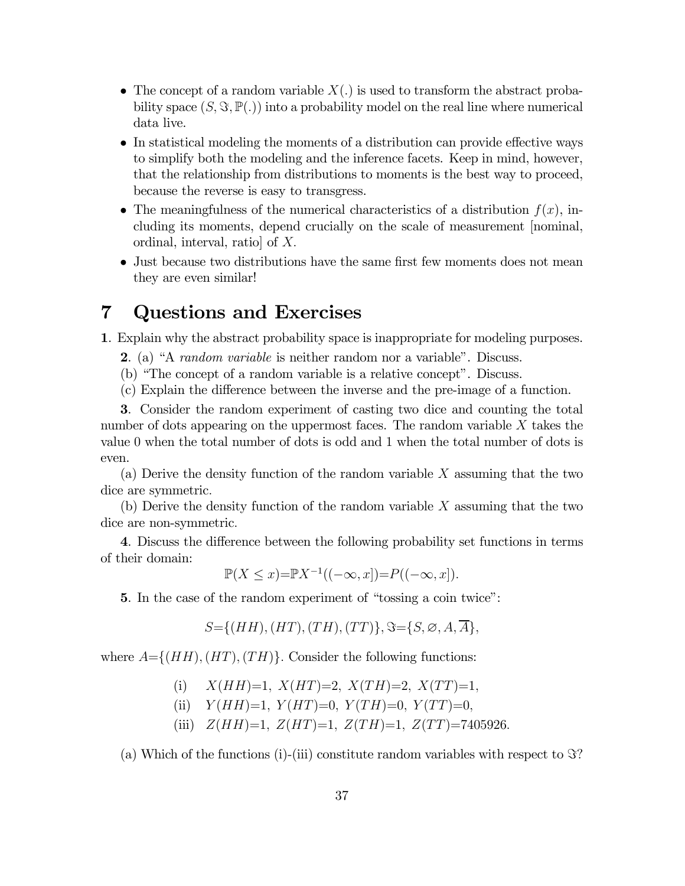- The concept of a random variable  $X(.)$  is used to transform the abstract probability space  $(S, \Im, \mathbb{P}(.))$  into a probability model on the real line where numerical data live.
- In statistical modeling the moments of a distribution can provide effective ways to simplify both the modeling and the inference facets. Keep in mind, however, that the relationship from distributions to moments is the best way to proceed, because the reverse is easy to transgress.
- The meaningfulness of the numerical characteristics of a distribution  $f(x)$ , including its moments, depend crucially on the scale of measurement [nominal, ordinal, interval, ratio of  $X$ .
- Just because two distributions have the same first few moments does not mean they are even similar!

# 7 Questions and Exercises

1. Explain why the abstract probability space is inappropriate for modeling purposes.

- 2. (a) "A random variable is neither random nor a variable". Discuss.
- (b) "The concept of a random variable is a relative concept". Discuss.
- (c) Explain the difference between the inverse and the pre-image of a function.

3. Consider the random experiment of casting two dice and counting the total number of dots appearing on the uppermost faces. The random variable  $X$  takes the value 0 when the total number of dots is odd and 1 when the total number of dots is even.

(a) Derive the density function of the random variable  $X$  assuming that the two dice are symmetric

(b) Derive the density function of the random variable  $X$  assuming that the two dice are non-symmetric

4. Discuss the difference between the following probability set functions in terms of their domain:

$$
\mathbb{P}(X \le x) = \mathbb{P}X^{-1}((-\infty, x]) = P((-\infty, x]).
$$

5. In the case of the random experiment of "tossing a coin twice":

$$
S = \{(HH), (HT), (TH), (TT)\}, \Im = \{S, \emptyset, A, \overline{A}\},
$$

where  $A=\{(HH), (HT), (TH)\}$ . Consider the following functions:

- (i)  $X(HH)=1$ ,  $X(HT)=2$ ,  $X(TH)=2$ ,  $X(TT)=1$ ,
- (ii)  $Y(HH)=1$ ,  $Y(HT)=0$ ,  $Y(TH)=0$ ,  $Y(TT)=0$ ,
- (iii)  $Z(HH)=1$ ,  $Z(HT)=1$ ,  $Z(TH)=1$ ,  $Z(TT)=7405926$ .

(a) Which of the functions (i)-(iii) constitute random variables with respect to  $\Im$ ?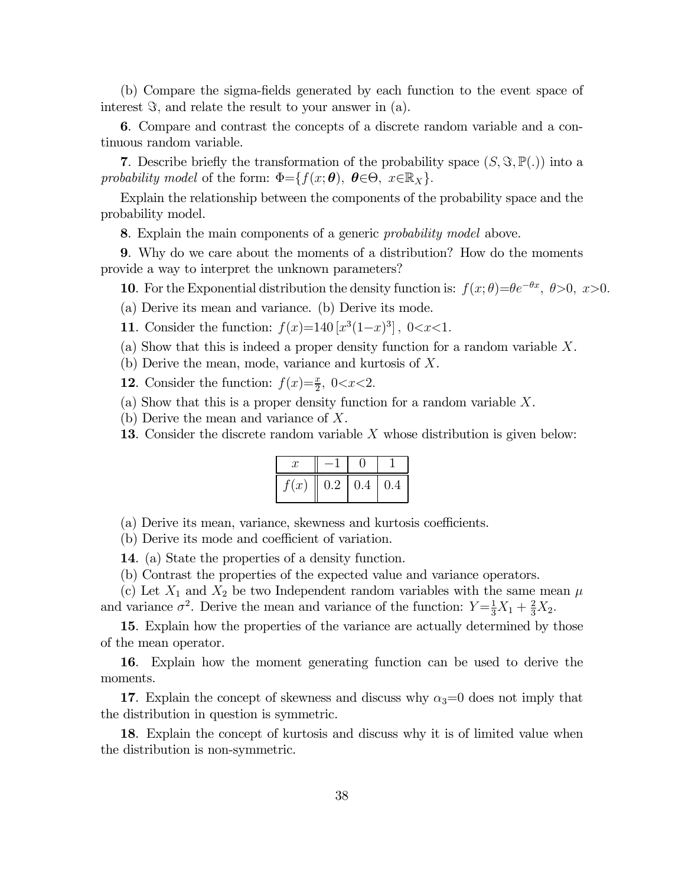(b) Compare the sigma-fields generated by each function to the event space of interest  $\Im$ , and relate the result to your answer in (a).

6. Compare and contrast the concepts of a discrete random variable and a continuous random variable.

7. Describe briefly the transformation of the probability space  $(S, \Im, \mathbb{P}(\cdot))$  into a probability model of the form:  $\Phi = \{f(x; \theta), \ \theta \in \Theta, \ x \in \mathbb{R}_X\}.$ 

Explain the relationship between the components of the probability space and the probability model.

8. Explain the main components of a generic probability model above.

9. Why do we care about the moments of a distribution? How do the moments provide a way to interpret the unknown parameters?

10. For the Exponential distribution the density function is:  $f(x; \theta) = \theta e^{-\theta x}, \ \theta > 0, \ x > 0.$ 

- (a) Derive its mean and variance. (b) Derive its mode.
- 11. Consider the function:  $f(x)=140 [x^3(1-x)^3]$ ,  $0 < x < 1$ .
- (a) Show that this is indeed a proper density function for a random variable  $X$ .
- (b) Derive the mean, mode, variance and kurtosis of  $X$ .
- **12**. Consider the function:  $f(x)=\frac{x}{2}$ ,  $0 < x < 2$ .
- (a) Show that this is a proper density function for a random variable  $X$ .
- (b) Derive the mean and variance of  $X$ .
- **13.** Consider the discrete random variable  $X$  whose distribution is given below:

| x    |                 |      |      |
|------|-----------------|------|------|
| f(x) | $\parallel$ 0.2 | 10.4 | 10.4 |

(a) Derive its mean, variance, skewness and kurtosis coefficients.

(b) Derive its mode and coefficient of variation.

14. (a) State the properties of a density function.

(b) Contrast the properties of the expected value and variance operators.

(c) Let  $X_1$  and  $X_2$  be two Independent random variables with the same mean  $\mu$ and variance  $\sigma^2$ . Derive the mean and variance of the function:  $Y = \frac{1}{3}X_1 + \frac{2}{3}X_2$ .

15. Explain how the properties of the variance are actually determined by those of the mean operator.

16. Explain how the moment generating function can be used to derive the moments.

17. Explain the concept of skewness and discuss why  $\alpha_3=0$  does not imply that the distribution in question is symmetric.

18. Explain the concept of kurtosis and discuss why it is of limited value when the distribution is non-symmetric.